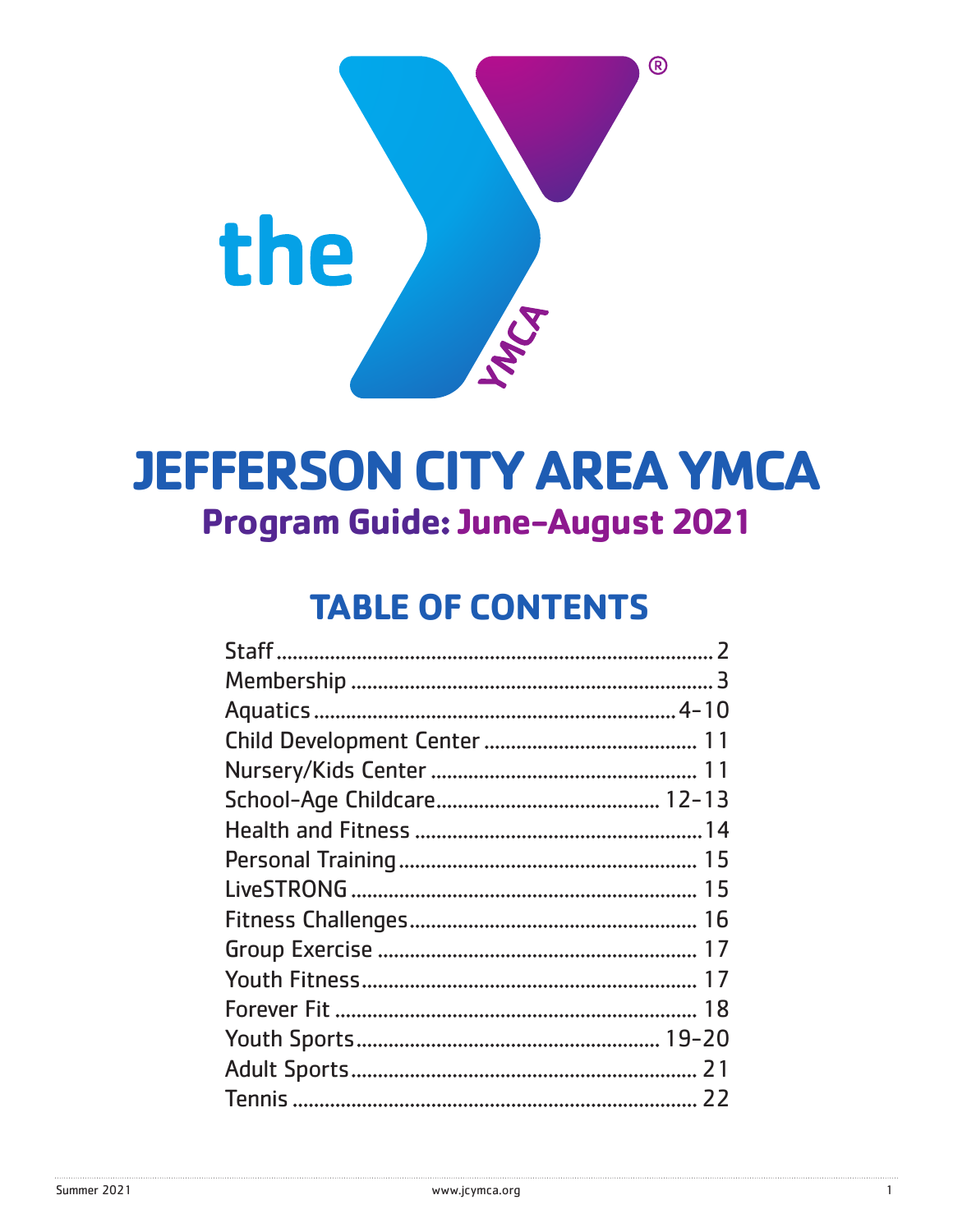

# **JEFFERSON CITY AREA YMCA Program Guide: June-August 2021**

# **TABLE OF CONTENTS**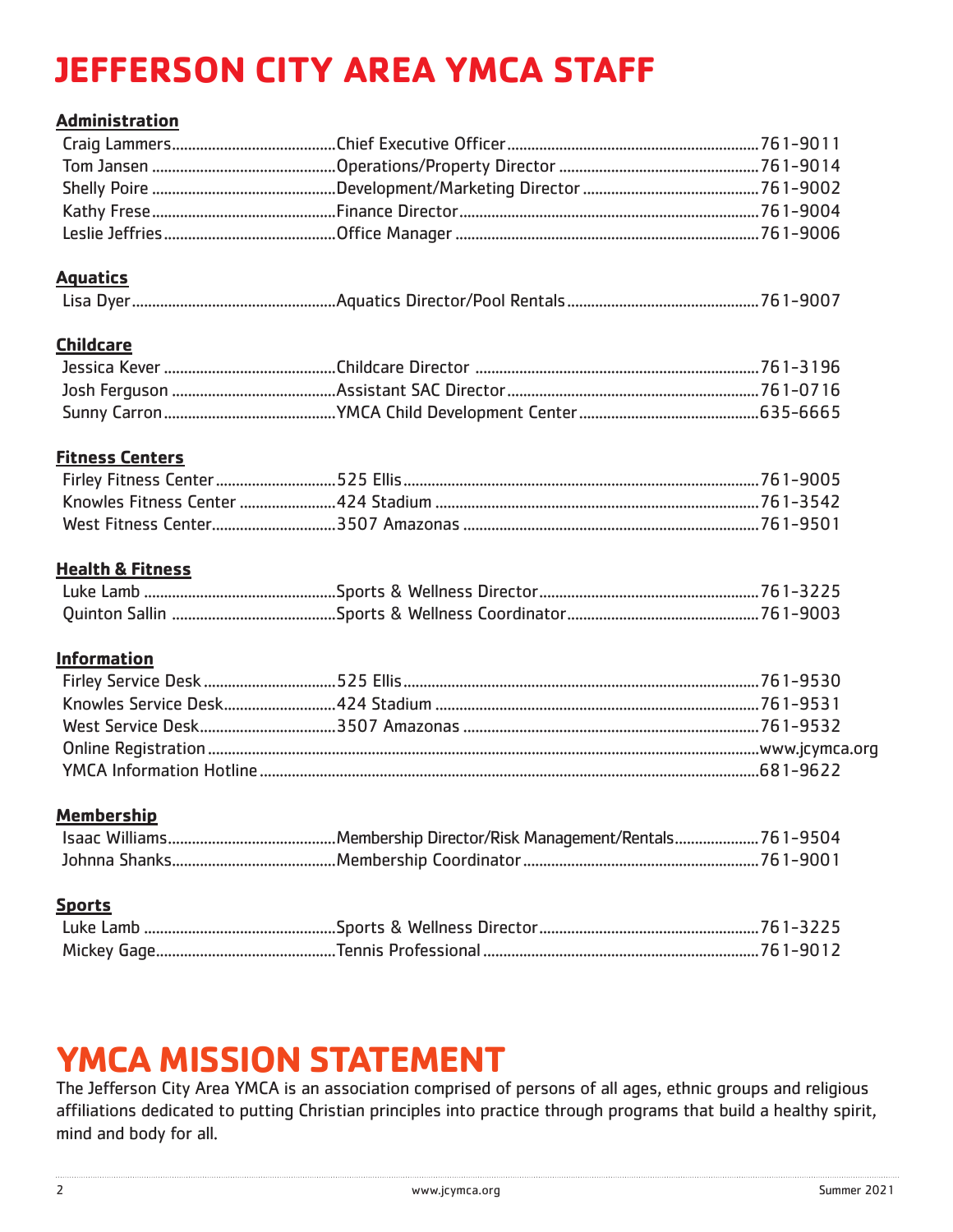# **JEFFERSON CITY AREA YMCA STAFF**

### **Administration**

### **Aquatics**

|--|

## **Childcare**

## **Fitness Centers**

## **Health & Fitness**

## **Information**

## **Membership**

### **Sports**

# **YMCA MISSION STATEMENT**

The Jefferson City Area YMCA is an association comprised of persons of all ages, ethnic groups and religious affiliations dedicated to putting Christian principles into practice through programs that build a healthy spirit, mind and body for all.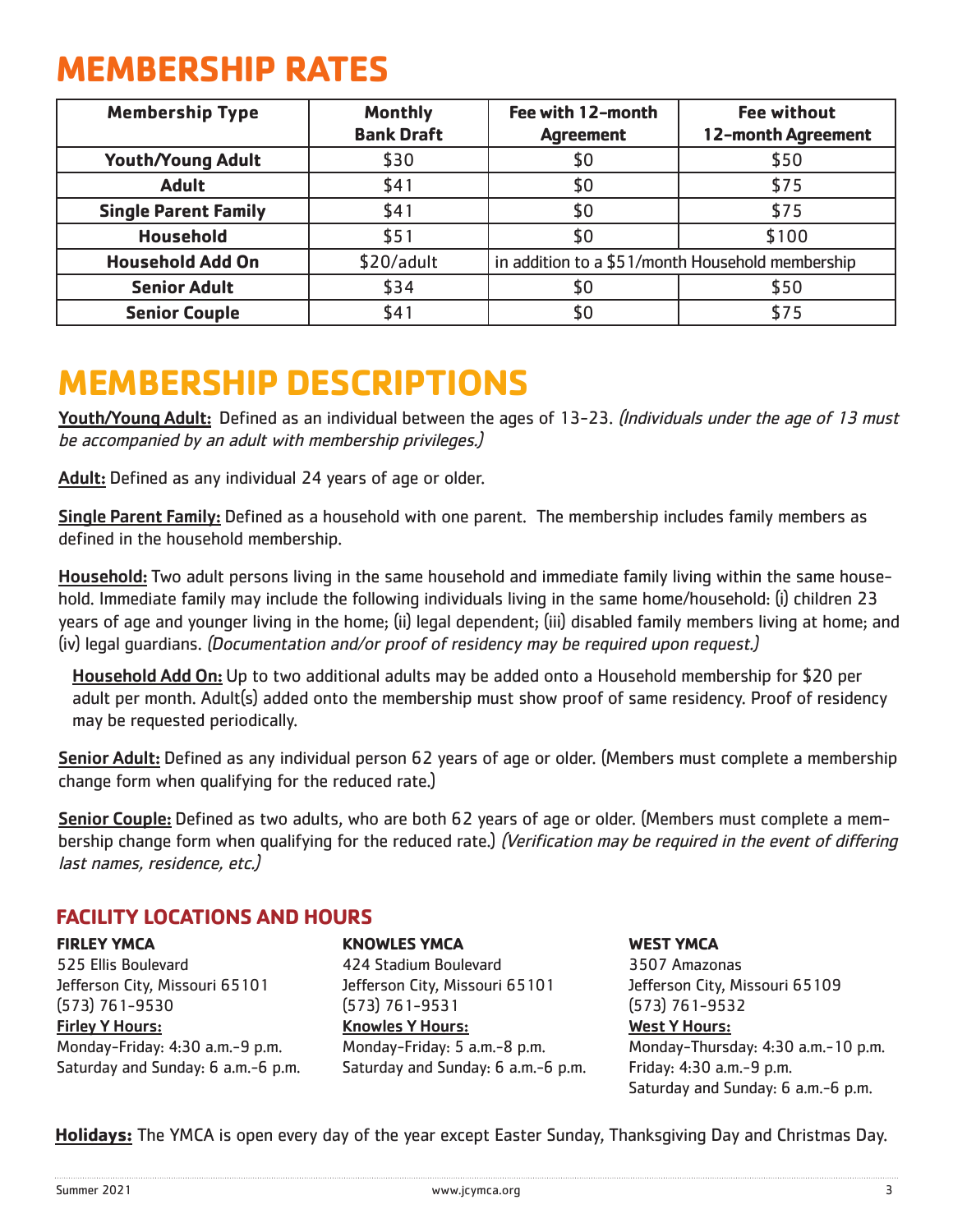# **MEMBERSHIP RATES**

| <b>Membership Type</b>      | <b>Monthly</b>    | Fee with 12-month                                | <b>Fee without</b> |
|-----------------------------|-------------------|--------------------------------------------------|--------------------|
|                             | <b>Bank Draft</b> | <b>Agreement</b>                                 | 12-month Agreement |
| <b>Youth/Young Adult</b>    | \$30              | \$0                                              | \$50               |
| <b>Adult</b>                | \$41              | \$0                                              | \$75               |
| <b>Single Parent Family</b> | \$41              | \$0                                              | \$75               |
| <b>Household</b>            | \$51              | \$0                                              | \$100              |
| <b>Household Add On</b>     | \$20/adult        | in addition to a \$51/month Household membership |                    |
| <b>Senior Adult</b>         | \$34              | \$0                                              | \$50               |
| <b>Senior Couple</b>        | \$41              | \$0                                              | \$75               |

# **MEMBERSHIP DESCRIPTIONS**

Youth/Young Adult: Defined as an individual between the ages of 13-23. (Individuals under the age of 13 must be accompanied by an adult with membership privileges.)

Adult: Defined as any individual 24 years of age or older.

Single Parent Family: Defined as a household with one parent. The membership includes family members as defined in the household membership.

Household: Two adult persons living in the same household and immediate family living within the same household. Immediate family may include the following individuals living in the same home/household: (i) children 23 years of age and younger living in the home; (ii) legal dependent; (iii) disabled family members living at home; and (iv) legal guardians. (Documentation and/or proof of residency may be required upon request.)

Household Add On: Up to two additional adults may be added onto a Household membership for \$20 per adult per month. Adult(s) added onto the membership must show proof of same residency. Proof of residency may be requested periodically.

Senior Adult: Defined as any individual person 62 years of age or older. (Members must complete a membership change form when qualifying for the reduced rate.)

Senior Couple: Defined as two adults, who are both 62 years of age or older. (Members must complete a membership change form when qualifying for the reduced rate.) (Verification may be required in the event of differing last names, residence, etc.)

# **FACILITY LOCATIONS AND HOURS**

**FIRLEY YMCA**

525 Ellis Boulevard Jefferson City, Missouri 65101 (573) 761-9530 Firley Y Hours: Monday-Friday: 4:30 a.m.-9 p.m. Saturday and Sunday: 6 a.m.-6 p.m.

### **KNOWLES YMCA**

424 Stadium Boulevard Jefferson City, Missouri 65101 (573) 761-9531 Knowles Y Hours: Monday-Friday: 5 a.m.-8 p.m. Saturday and Sunday: 6 a.m.-6 p.m. **WEST YMCA** 3507 Amazonas Jefferson City, Missouri 65109 (573) 761-9532 West Y Hours: Monday-Thursday: 4:30 a.m.-10 p.m. Friday: 4:30 a.m.-9 p.m. Saturday and Sunday: 6 a.m.-6 p.m.

**Holidays:** The YMCA is open every day of the year except Easter Sunday, Thanksgiving Day and Christmas Day.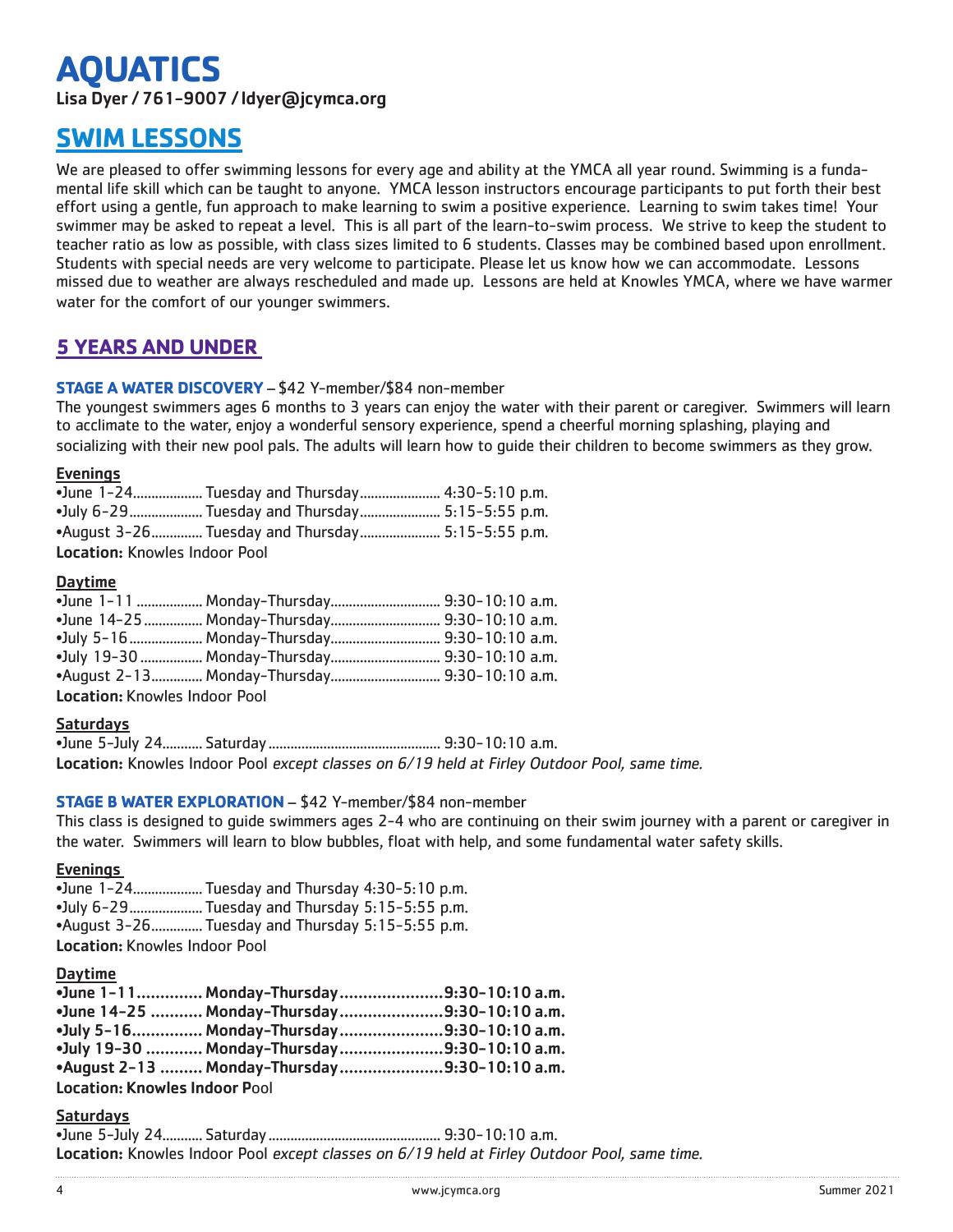# **AQUATICS**

Lisa Dyer / 761-9007 / ldyer@jcymca.org

# **SWIM LESSONS**

We are pleased to offer swimming lessons for every age and ability at the YMCA all year round. Swimming is a fundamental life skill which can be taught to anyone. YMCA lesson instructors encourage participants to put forth their best effort using a gentle, fun approach to make learning to swim a positive experience. Learning to swim takes time! Your swimmer may be asked to repeat a level. This is all part of the learn-to-swim process. We strive to keep the student to teacher ratio as low as possible, with class sizes limited to 6 students. Classes may be combined based upon enrollment. Students with special needs are very welcome to participate. Please let us know how we can accommodate. Lessons missed due to weather are always rescheduled and made up. Lessons are held at Knowles YMCA, where we have warmer water for the comfort of our younger swimmers.

## **5 YEARS AND UNDER**

### **STAGE A WATER DISCOVERY** – \$42 Y-member/\$84 non-member

The youngest swimmers ages 6 months to 3 years can enjoy the water with their parent or caregiver. Swimmers will learn to acclimate to the water, enjoy a wonderful sensory experience, spend a cheerful morning splashing, playing and socializing with their new pool pals. The adults will learn how to guide their children to become swimmers as they grow.

### **Evenings**

|                               | • June 1-24 Tuesday and Thursday 4:30-5:10 p.m.            |
|-------------------------------|------------------------------------------------------------|
|                               | • July 6-29     Tuesday and Thursday        5:15-5:55 p.m. |
|                               | •August 3-26 Tuesday and Thursday 5:15-5:55 p.m.           |
| Location: Knowles Indoor Pool |                                                            |

### Daytime

|                               | • June 1-11  Monday-Thursday 9:30-10:10 a.m.  |  |
|-------------------------------|-----------------------------------------------|--|
|                               |                                               |  |
|                               |                                               |  |
|                               | •July 19-30  Monday-Thursday  9:30-10:10 a.m. |  |
|                               |                                               |  |
| Location: Knowles Indoor Pool |                                               |  |

### Saturdays

•June 5-July 24........... Saturday............................................... 9:30-10:10 a.m. Location: Knowles Indoor Pool except classes on 6/19 held at Firley Outdoor Pool, same time.

### **STAGE B WATER EXPLORATION** – \$42 Y-member/\$84 non-member

This class is designed to guide swimmers ages 2-4 who are continuing on their swim journey with a parent or caregiver in the water. Swimmers will learn to blow bubbles, float with help, and some fundamental water safety skills.

#### Evenings

•June 1-24................... Tuesday and Thursday 4:30-5:10 p.m. •July 6-29.................... Tuesday and Thursday 5:15-5:55 p.m. •August 3-26.............. Tuesday and Thursday 5:15-5:55 p.m. Location: Knowles Indoor Pool

### Daytime

|                               | •June 1-11 Monday-Thursday9:30-10:10 a.m.              |  |
|-------------------------------|--------------------------------------------------------|--|
|                               | • June 14-25    Monday-Thursday        9:30-10:10 a.m. |  |
|                               | •July 5-16 Monday-Thursday9:30-10:10 a.m.              |  |
|                               | •July 19-30  Monday-Thursday 9:30-10:10 a.m.           |  |
|                               | •August 2-13  Monday-Thursday 9:30-10:10 a.m.          |  |
| Location: Knowles Indoor Pool |                                                        |  |

#### **Saturdavs**

•June 5-July 24........... Saturday............................................... 9:30-10:10 a.m. Location: Knowles Indoor Pool except classes on 6/19 held at Firley Outdoor Pool, same time.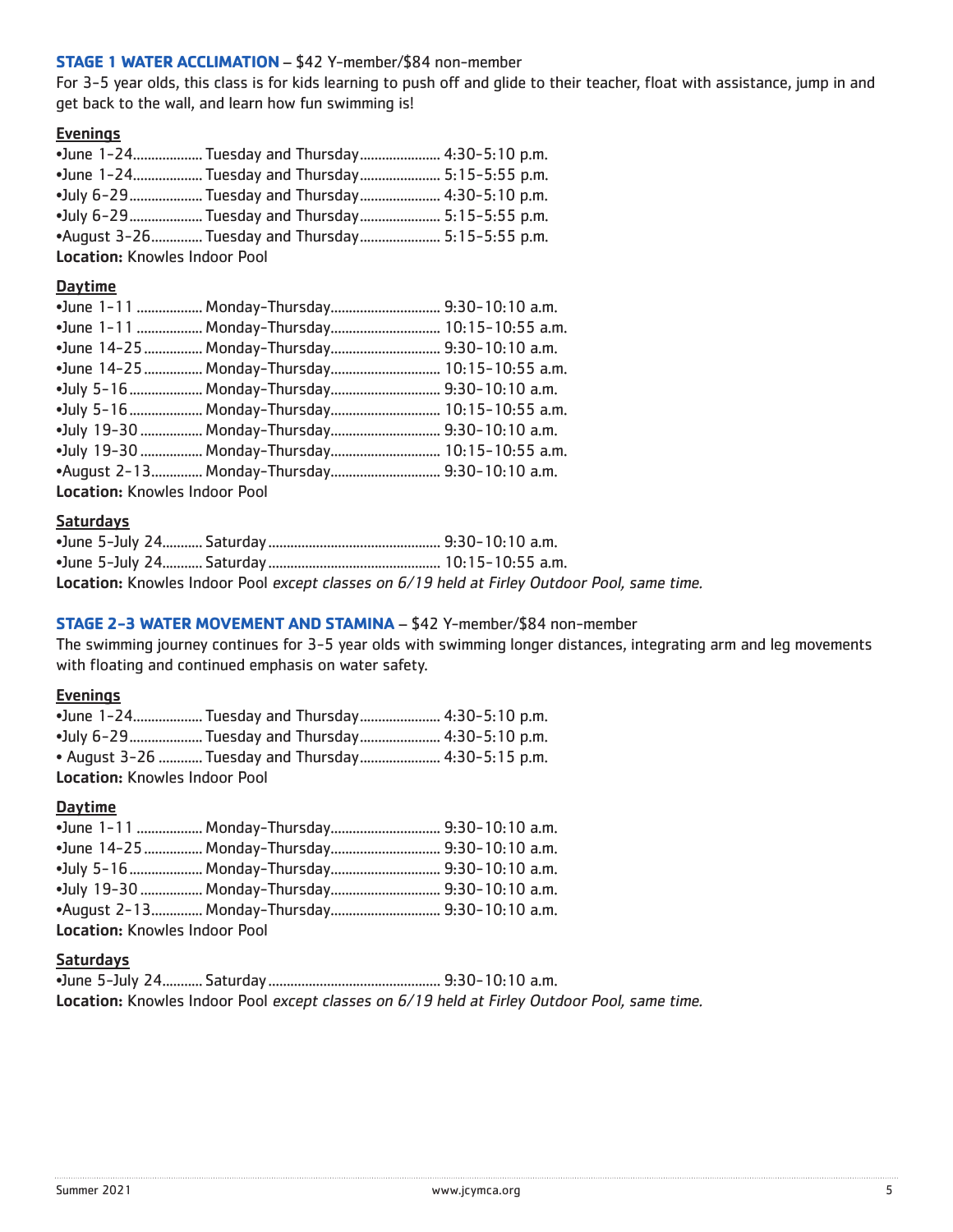### **STAGE 1 WATER ACCLIMATION** – \$42 Y-member/\$84 non-member

For 3-5 year olds, this class is for kids learning to push off and glide to their teacher, float with assistance, jump in and get back to the wall, and learn how fun swimming is!

### **Evenings**

|                                      | • June 1-24 Tuesday and Thursday 4:30-5:10 p.m.  |  |
|--------------------------------------|--------------------------------------------------|--|
|                                      | •June 1-24 Tuesday and Thursday 5:15-5:55 p.m.   |  |
|                                      | •July 6-29 Tuesday and Thursday 4:30-5:10 p.m.   |  |
|                                      | •July 6-29 Tuesday and Thursday 5:15-5:55 p.m.   |  |
|                                      | •August 3-26 Tuesday and Thursday 5:15-5:55 p.m. |  |
| <b>Location: Knowles Indoor Pool</b> |                                                  |  |

### Daytime

|                                      | •June 1-11  Monday-Thursday  9:30-10:10 a.m.   |
|--------------------------------------|------------------------------------------------|
|                                      | •June 1-11  Monday-Thursday  10:15-10:55 a.m.  |
|                                      | •June 14-25  Monday-Thursday  9:30-10:10 a.m.  |
|                                      | •June 14-25  Monday-Thursday  10:15-10:55 a.m. |
|                                      | •July 5-16  Monday-Thursday  9:30-10:10 a.m.   |
|                                      | •July 5-16  Monday-Thursday  10:15-10:55 a.m.  |
|                                      | •July 19-30  Monday-Thursday  9:30-10:10 a.m.  |
|                                      | •July 19-30  Monday-Thursday  10:15-10:55 a.m. |
|                                      | •August 2-13 Monday-Thursday 9:30-10:10 a.m.   |
| <b>Location: Knowles Indoor Pool</b> |                                                |

### **Saturdays**

|  | Location: Knowles Indoor Pool except classes on 6/19 held at Firley Outdoor Pool, same time. |
|--|----------------------------------------------------------------------------------------------|

### **STAGE 2-3 WATER MOVEMENT AND STAMINA** – \$42 Y-member/\$84 non-member

The swimming journey continues for 3-5 year olds with swimming longer distances, integrating arm and leg movements with floating and continued emphasis on water safety.

### **Evenings**

|                                      | • June 1-24 Tuesday and Thursday 4:30-5:10 p.m.            |  |
|--------------------------------------|------------------------------------------------------------|--|
|                                      | • July 6-29     Tuesday and Thursday        4:30-5:10 p.m. |  |
|                                      | • August 3-26  Tuesday and Thursday  4:30-5:15 p.m.        |  |
| <b>Location: Knowles Indoor Pool</b> |                                                            |  |

### Daytime

|                                      | •July 5-16  Monday-Thursday 9:30-10:10 a.m.   |  |
|--------------------------------------|-----------------------------------------------|--|
|                                      | •July 19-30  Monday-Thursday  9:30-10:10 a.m. |  |
|                                      |                                               |  |
| <b>Location: Knowles Indoor Pool</b> |                                               |  |

#### Saturdays

| Location: Knowles Indoor Pool except classes on 6/19 held at Firley Outdoor Pool, same time. |
|----------------------------------------------------------------------------------------------|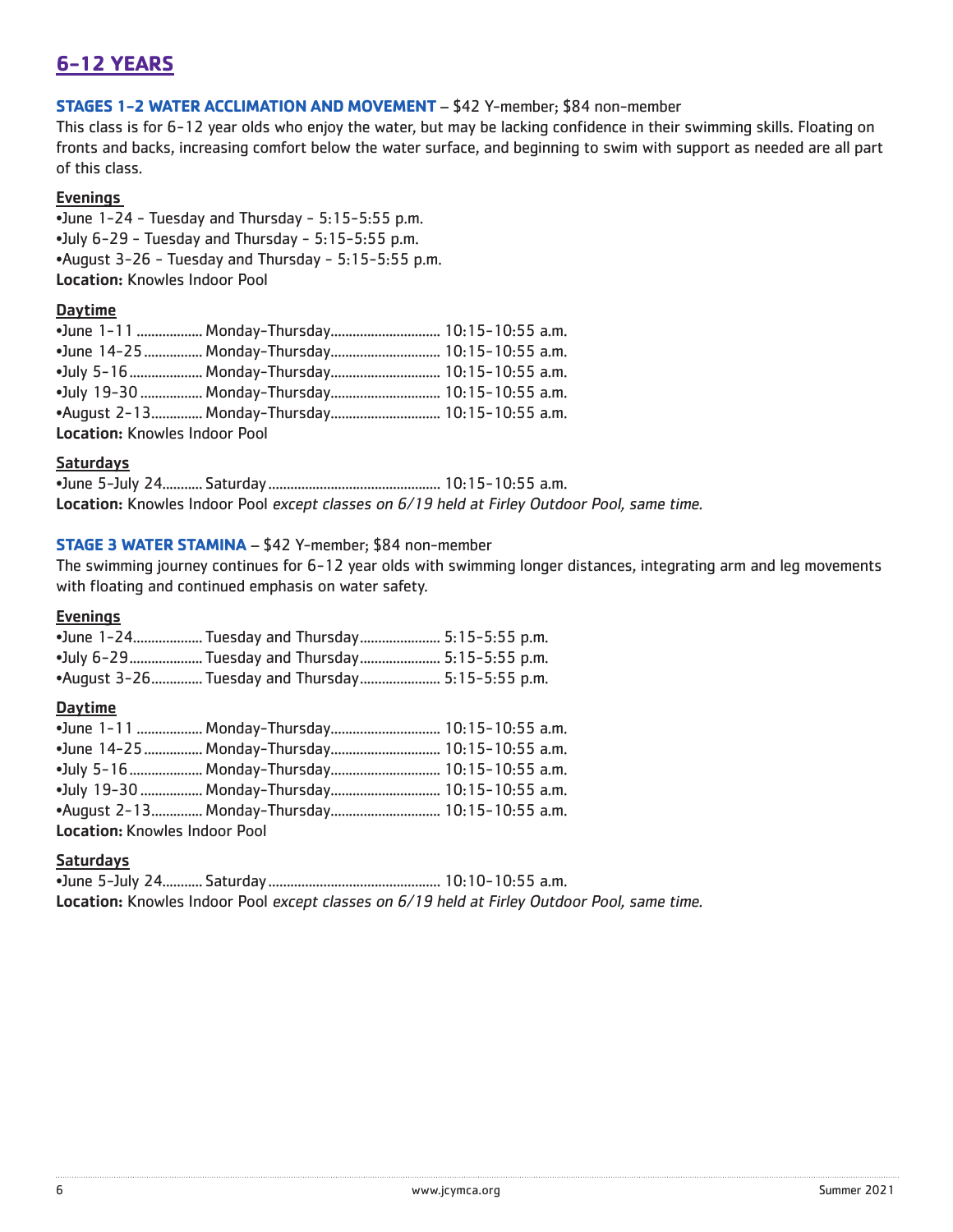# **6-12 YEARS**

### **STAGES 1-2 WATER ACCLIMATION AND MOVEMENT** – \$42 Y-member; \$84 non-member

This class is for 6-12 year olds who enjoy the water, but may be lacking confidence in their swimming skills. Floating on fronts and backs, increasing comfort below the water surface, and beginning to swim with support as needed are all part of this class.

### **Evenings**

•June 1-24 - Tuesday and Thursday - 5:15-5:55 p.m. •July 6-29 - Tuesday and Thursday - 5:15-5:55 p.m. •August 3-26 - Tuesday and Thursday - 5:15-5:55 p.m. Location: Knowles Indoor Pool

### Daytime

|                               | •June 1-11  Monday-Thursday 10:15-10:55 a.m.           |  |
|-------------------------------|--------------------------------------------------------|--|
|                               | •June 14-25  Monday-Thursday  10:15-10:55 a.m.         |  |
|                               |                                                        |  |
|                               | •July 19-30  Monday-Thursday  10:15-10:55 a.m.         |  |
|                               | • August 2-13  m Monday-Thursday  m m 30:15-10:55 a.m. |  |
| Location: Knowles Indoor Pool |                                                        |  |

#### Saturdays

•June 5-July 24........... Saturday............................................... 10:15-10:55 a.m. Location: Knowles Indoor Pool except classes on 6/19 held at Firley Outdoor Pool, same time.

### **STAGE 3 WATER STAMINA** – \$42 Y-member; \$84 non-member

The swimming journey continues for 6-12 year olds with swimming longer distances, integrating arm and leg movements with floating and continued emphasis on water safety.

### **Evenings**

|  | • June 1-24 Tuesday and Thursday 5:15-5:55 p.m.  |
|--|--------------------------------------------------|
|  | • July 6-29 Tuesday and Thursday 5:15-5:55 p.m.  |
|  | •August 3-26 Tuesday and Thursday 5:15-5:55 p.m. |

### **Daytime**

|                                      | •June 14-25  Monday-Thursday  10:15-10:55 a.m. |  |  |
|--------------------------------------|------------------------------------------------|--|--|
|                                      |                                                |  |  |
|                                      | •July 19-30  Monday-Thursday  10:15-10:55 a.m. |  |  |
|                                      | •August 2-13 Monday-Thursday 10:15-10:55 a.m.  |  |  |
| <b>Location: Knowles Indoor Pool</b> |                                                |  |  |

### **Saturdays**

•June 5-July 24........... Saturday............................................... 10:10-10:55 a.m. Location: Knowles Indoor Pool except classes on 6/19 held at Firley Outdoor Pool, same time.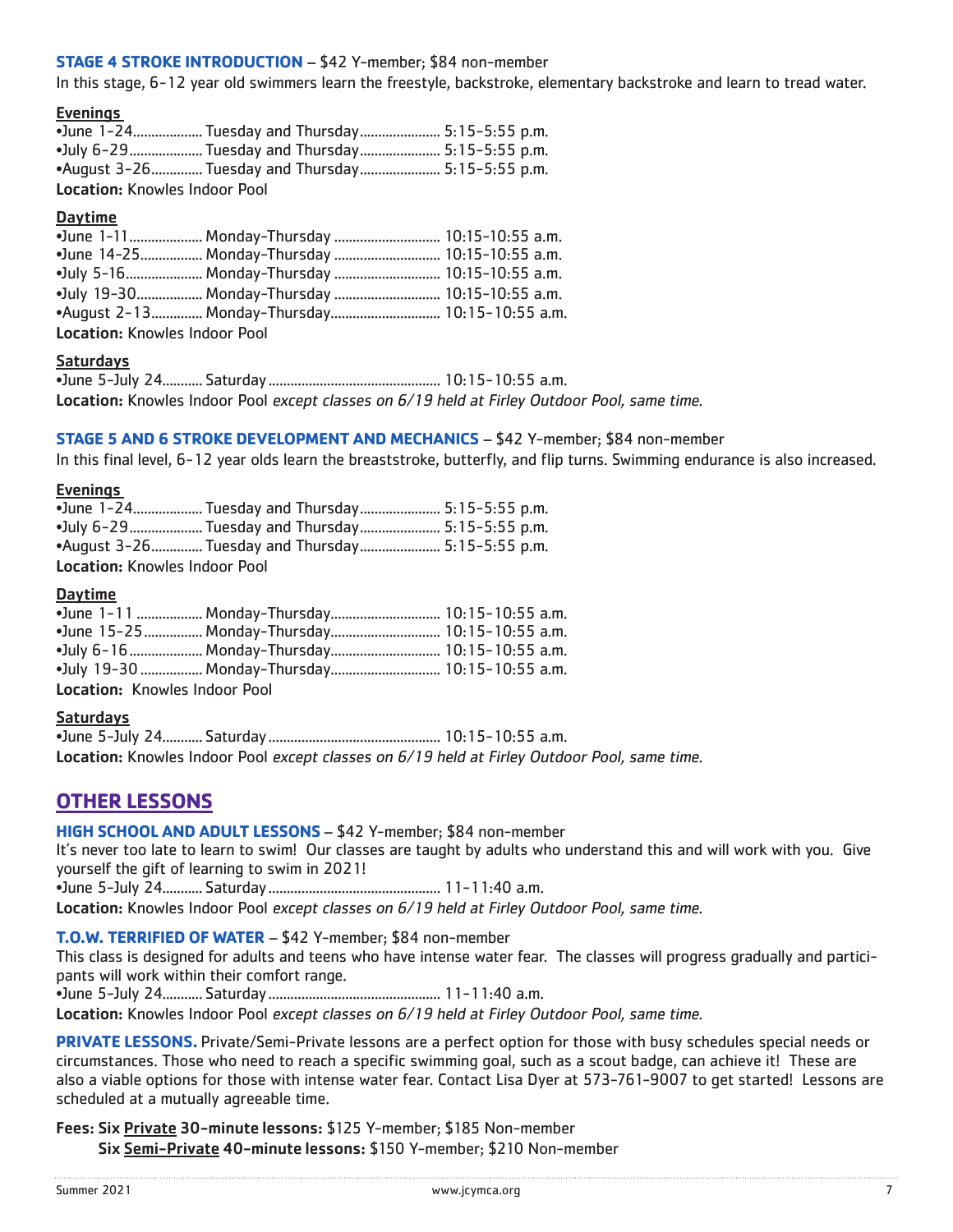### **STAGE 4 STROKE INTRODUCTION** – \$42 Y-member; \$84 non-member

In this stage, 6-12 year old swimmers learn the freestyle, backstroke, elementary backstroke and learn to tread water.

### Evenings

|                                      | •June 1-24 Tuesday and Thursday 5:15-5:55 p.m.   |  |  |
|--------------------------------------|--------------------------------------------------|--|--|
|                                      | •July 6-29 Tuesday and Thursday 5:15-5:55 p.m.   |  |  |
|                                      | •August 3-26 Tuesday and Thursday 5:15-5:55 p.m. |  |  |
| <b>Location: Knowles Indoor Pool</b> |                                                  |  |  |

#### Daytime

|                                      | • June 1-11 Monday-Thursday  10:15-10:55 a.m. |  |
|--------------------------------------|-----------------------------------------------|--|
|                                      | •June 14-25 Monday-Thursday  10:15-10:55 a.m. |  |
|                                      | •July 5-16 Monday-Thursday  10:15-10:55 a.m.  |  |
|                                      | •July 19-30 Monday-Thursday  10:15-10:55 a.m. |  |
|                                      |                                               |  |
| <b>Location:</b> Knowles Indoor Pool |                                               |  |

### Saturdays

•June 5-July 24........... Saturday............................................... 10:15-10:55 a.m. Location: Knowles Indoor Pool except classes on 6/19 held at Firley Outdoor Pool, same time.

#### **STAGE 5 AND 6 STROKE DEVELOPMENT AND MECHANICS** – \$42 Y-member; \$84 non-member

In this final level, 6-12 year olds learn the breaststroke, butterfly, and flip turns. Swimming endurance is also increased.

#### **Evenings**

|                                      | • June 1-24 Tuesday and Thursday 5:15-5:55 p.m.            |  |
|--------------------------------------|------------------------------------------------------------|--|
|                                      | • July 6-29     Tuesday and Thursday        5:15-5:55 p.m. |  |
|                                      | •August 3-26 Tuesday and Thursday 5:15-5:55 p.m.           |  |
| <b>Location: Knowles Indoor Pool</b> |                                                            |  |

#### Daytime

|                                 | •June 1-11  Monday-Thursday 10:15-10:55 a.m.   |  |  |
|---------------------------------|------------------------------------------------|--|--|
|                                 |                                                |  |  |
|                                 | •July 6-16  Monday-Thursday  10:15-10:55 a.m.  |  |  |
|                                 | •July 19-30  Monday-Thursday  10:15-10:55 a.m. |  |  |
| Leestien : Kneuder lieders Deel |                                                |  |  |

Location: Knowles Indoor Pool

#### Saturdays

•June 5-July 24........... Saturday............................................... 10:15-10:55 a.m. Location: Knowles Indoor Pool except classes on 6/19 held at Firley Outdoor Pool, same time.

### **OTHER LESSONS**

#### **HIGH SCHOOL AND ADULT LESSONS** – \$42 Y-member; \$84 non-member

It's never too late to learn to swim! Our classes are taught by adults who understand this and will work with you. Give yourself the gift of learning to swim in 2021!

•June 5-July 24........... Saturday............................................... 11-11:40 a.m.

Location: Knowles Indoor Pool except classes on 6/19 held at Firley Outdoor Pool, same time.

#### **T.O.W. TERRIFIED OF WATER** – \$42 Y-member; \$84 non-member

This class is designed for adults and teens who have intense water fear. The classes will progress gradually and participants will work within their comfort range.

•June 5-July 24........... Saturday............................................... 11-11:40 a.m.

Location: Knowles Indoor Pool except classes on 6/19 held at Firley Outdoor Pool, same time.

**PRIVATE LESSONS.** Private/Semi-Private lessons are a perfect option for those with busy schedules special needs or circumstances. Those who need to reach a specific swimming goal, such as a scout badge, can achieve it! These are also a viable options for those with intense water fear. Contact Lisa Dyer at 573-761-9007 to get started! Lessons are scheduled at a mutually agreeable time.

Fees: Six Private 30-minute lessons: \$125 Y-member; \$185 Non-member Six Semi-Private 40-minute lessons: \$150 Y-member; \$210 Non-member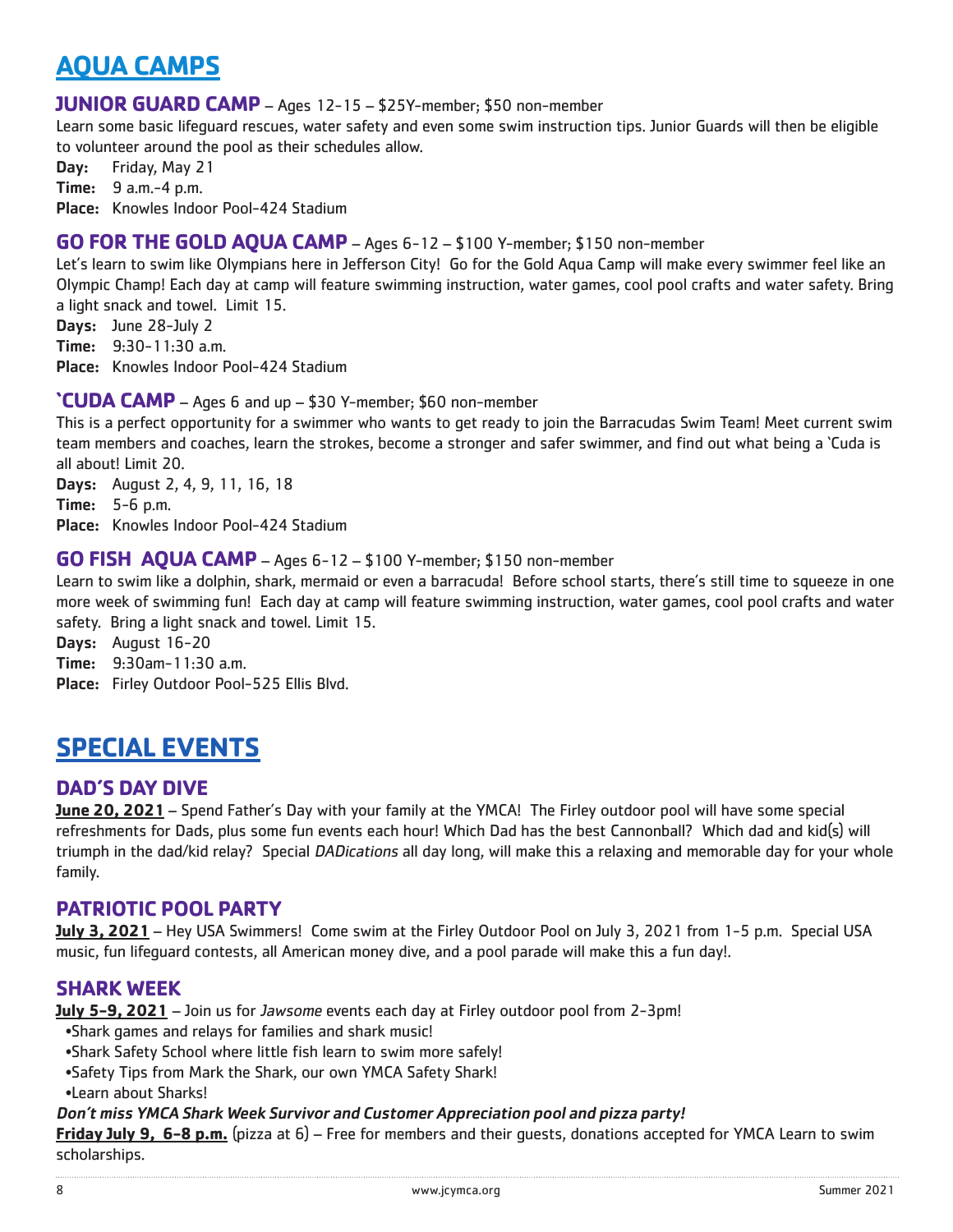# **AQUA CAMPS**

### **JUNIOR GUARD CAMP** – Ages 12-15 – \$25Y-member; \$50 non-member

Learn some basic lifeguard rescues, water safety and even some swim instruction tips. Junior Guards will then be eligible to volunteer around the pool as their schedules allow.

Day: Friday, May 21

Time: 9 a.m.-4 p.m.

Place: Knowles Indoor Pool-424 Stadium

### **GO FOR THE GOLD AQUA CAMP** – Ages 6-12 – \$100 Y-member; \$150 non-member

Let's learn to swim like Olympians here in Jefferson City! Go for the Gold Aqua Camp will make every swimmer feel like an Olympic Champ! Each day at camp will feature swimming instruction, water games, cool pool crafts and water safety. Bring a light snack and towel. Limit 15.

Days: June 28-July 2 Time: 9:30-11:30 a.m. Place: Knowles Indoor Pool-424 Stadium

### **'CUDA CAMP** – Ages 6 and up – \$30 Y-member; \$60 non-member

This is a perfect opportunity for a swimmer who wants to get ready to join the Barracudas Swim Team! Meet current swim team members and coaches, learn the strokes, become a stronger and safer swimmer, and find out what being a 'Cuda is all about! Limit 20.

Days: August 2, 4, 9, 11, 16, 18 Time: 5-6 p.m. Place: Knowles Indoor Pool-424 Stadium

### **GO FISH AQUA CAMP** – Ages 6-12 – \$100 Y-member; \$150 non-member

Learn to swim like a dolphin, shark, mermaid or even a barracuda! Before school starts, there's still time to squeeze in one more week of swimming fun! Each day at camp will feature swimming instruction, water games, cool pool crafts and water safety. Bring a light snack and towel. Limit 15.

Days: August 16-20

Time: 9:30am-11:30 a.m.

Place: Firley Outdoor Pool-525 Ellis Blvd.

# **SPECIAL EVENTS**

### **DAD'S DAY DIVE**

**June 20, 2021** – Spend Father's Day with your family at the YMCA! The Firley outdoor pool will have some special refreshments for Dads, plus some fun events each hour! Which Dad has the best Cannonball? Which dad and kid(s) will triumph in the dad/kid relay? Special DADications all day long, will make this a relaxing and memorable day for your whole family.

### **PATRIOTIC POOL PARTY**

**July 3, 2021** – Hey USA Swimmers! Come swim at the Firley Outdoor Pool on July 3, 2021 from 1-5 p.m. Special USA music, fun lifeguard contests, all American money dive, and a pool parade will make this a fun day!.

### **SHARK WEEK**

**July 5-9, 2021** – Join us for Jawsome events each day at Firley outdoor pool from 2-3pm!

- •Shark games and relays for families and shark music!
- •Shark Safety School where little fish learn to swim more safely!
- •Safety Tips from Mark the Shark, our own YMCA Safety Shark!
- •Learn about Sharks!

### Don't miss YMCA Shark Week Survivor and Customer Appreciation pool and pizza party!

**Friday July 9, 6-8 p.m.** (pizza at 6) – Free for members and their guests, donations accepted for YMCA Learn to swim scholarships.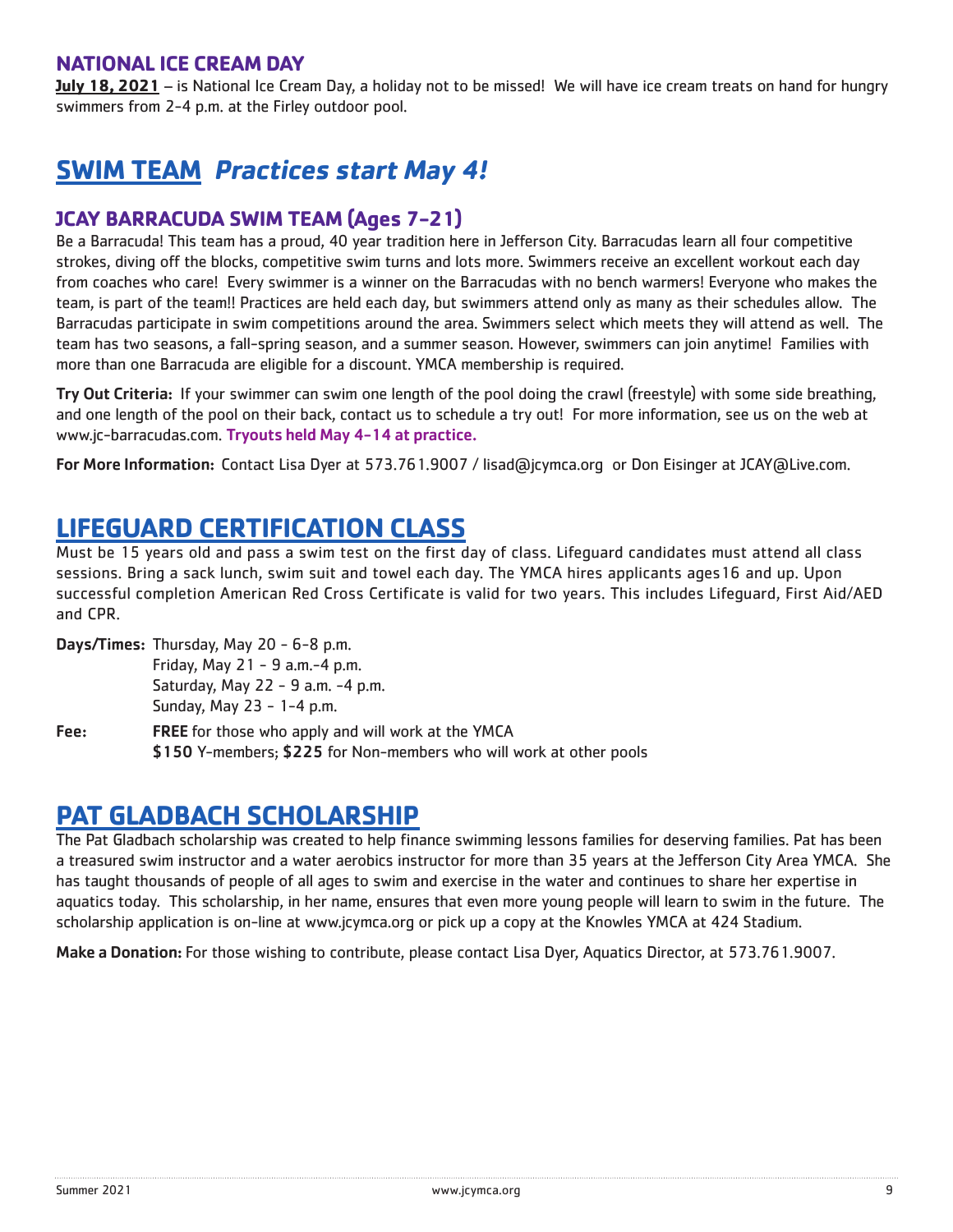## **NATIONAL ICE CREAM DAY**

**July 18, 2021** – is National Ice Cream Day, a holiday not to be missed! We will have ice cream treats on hand for hungry swimmers from 2-4 p.m. at the Firley outdoor pool.

# **SWIM TEAM Practices start May 4!**

## **JCAY BARRACUDA SWIM TEAM (Ages 7-21)**

Be a Barracuda! This team has a proud, 40 year tradition here in Jefferson City. Barracudas learn all four competitive strokes, diving off the blocks, competitive swim turns and lots more. Swimmers receive an excellent workout each day from coaches who care! Every swimmer is a winner on the Barracudas with no bench warmers! Everyone who makes the team, is part of the team!! Practices are held each day, but swimmers attend only as many as their schedules allow. The Barracudas participate in swim competitions around the area. Swimmers select which meets they will attend as well. The team has two seasons, a fall-spring season, and a summer season. However, swimmers can join anytime! Families with more than one Barracuda are eligible for a discount. YMCA membership is required.

Try Out Criteria: If your swimmer can swim one length of the pool doing the crawl (freestyle) with some side breathing, and one length of the pool on their back, contact us to schedule a try out! For more information, see us on the web at www.jc-barracudas.com. Tryouts held May 4-14 at practice.

For More Information: Contact Lisa Dyer at 573.761.9007 / lisad@jcymca.org or Don Eisinger at JCAY@Live.com.

# **LIFEGUARD CERTIFICATION CLASS**

Must be 15 years old and pass a swim test on the first day of class. Lifeguard candidates must attend all class sessions. Bring a sack lunch, swim suit and towel each day. The YMCA hires applicants ages16 and up. Upon successful completion American Red Cross Certificate is valid for two years. This includes Lifeguard, First Aid/AED and CPR.

Days/Times: Thursday, May 20 - 6-8 p.m.

 Friday, May 21 - 9 a.m.-4 p.m. Saturday, May 22 - 9 a.m. -4 p.m. Sunday, May 23 - 1-4 p.m.

Fee: FREE for those who apply and will work at the YMCA \$150 Y-members; \$225 for Non-members who will work at other pools

# **PAT GLADBACH SCHOLARSHIP**

The Pat Gladbach scholarship was created to help finance swimming lessons families for deserving families. Pat has been a treasured swim instructor and a water aerobics instructor for more than 35 years at the Jefferson City Area YMCA. She has taught thousands of people of all ages to swim and exercise in the water and continues to share her expertise in aquatics today. This scholarship, in her name, ensures that even more young people will learn to swim in the future. The scholarship application is on-line at www.jcymca.org or pick up a copy at the Knowles YMCA at 424 Stadium.

Make a Donation: For those wishing to contribute, please contact Lisa Dyer, Aquatics Director, at 573.761.9007.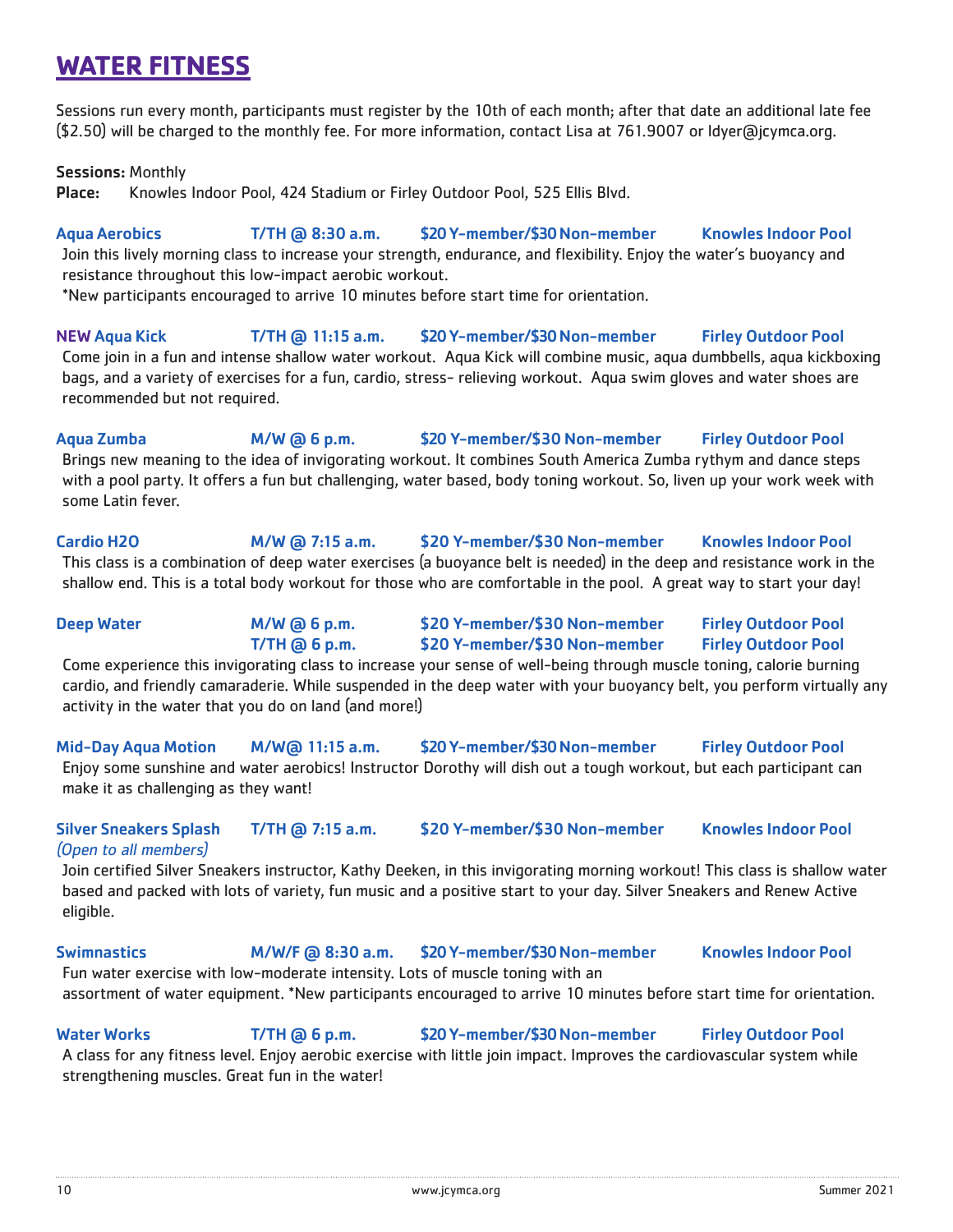# **WATER FITNESS**

Sessions run every month, participants must register by the 10th of each month; after that date an additional late fee (\$2.50) will be charged to the monthly fee. For more information, contact Lisa at 761.9007 or ldyer@jcymca.org.

Sessions: Monthly

Place: Knowles Indoor Pool, 424 Stadium or Firley Outdoor Pool, 525 Ellis Blvd.

Aqua Aerobics T/TH @ 8:30 a.m. \$20 Y-member/\$30 Non-member Knowles Indoor Pool Join this lively morning class to increase your strength, endurance, and flexibility. Enjoy the water's buoyancy and resistance throughout this low-impact aerobic workout. \*New participants encouraged to arrive 10 minutes before start time for orientation.

NEW Aqua Kick T/TH @ 11:15 a.m. \$20 Y-member/\$30 Non-member Firley Outdoor Pool Come join in a fun and intense shallow water workout. Aqua Kick will combine music, aqua dumbbells, aqua kickboxing bags, and a variety of exercises for a fun, cardio, stress- relieving workout. Aqua swim gloves and water shoes are recommended but not required.

Aqua Zumba M/W @ 6 p.m. \$20 Y-member/\$30 Non-member Firley Outdoor Pool Brings new meaning to the idea of invigorating workout. It combines South America Zumba rythym and dance steps with a pool party. It offers a fun but challenging, water based, body toning workout. So, liven up your work week with some Latin fever.

Cardio H2O M/W @ 7:15 a.m. \$20 Y-member/\$30 Non-member Knowles Indoor Pool This class is a combination of deep water exercises (a buoyance belt is needed) in the deep and resistance work in the shallow end. This is a total body workout for those who are comfortable in the pool. A great way to start your day!

### Deep Water **M/W @ 6 p.m.** \$20 Y-member/\$30 Non-member Firley Outdoor Pool T/TH @ 6 p.m. \$20 Y-member/\$30 Non-member Firley Outdoor Pool Come experience this invigorating class to increase your sense of well-being through muscle toning, calorie burning

cardio, and friendly camaraderie. While suspended in the deep water with your buoyancy belt, you perform virtually any activity in the water that you do on land (and more!)

Mid-Day Aqua Motion M/W@ 11:15 a.m. \$20 Y-member/\$30 Non-member Firley Outdoor Pool Enjoy some sunshine and water aerobics! Instructor Dorothy will dish out a tough workout, but each participant can make it as challenging as they want!

### Silver Sneakers Splash T/TH @ 7:15 a.m. \$20 Y-member/\$30 Non-member Knowles Indoor Pool (Open to all members)

Join certified Silver Sneakers instructor, Kathy Deeken, in this invigorating morning workout! This class is shallow water based and packed with lots of variety, fun music and a positive start to your day. Silver Sneakers and Renew Active eligible.

Swimnastics M/W/F @ 8:30 a.m. \$20 Y-member/\$30 Non-member Knowles Indoor Pool Fun water exercise with low-moderate intensity. Lots of muscle toning with an

assortment of water equipment. \*New participants encouraged to arrive 10 minutes before start time for orientation.

### Water Works **T/TH @ 6 p.m.** \$20 Y-member/\$30 Non-member Firley Outdoor Pool

A class for any fitness level. Enjoy aerobic exercise with little join impact. Improves the cardiovascular system while strengthening muscles. Great fun in the water!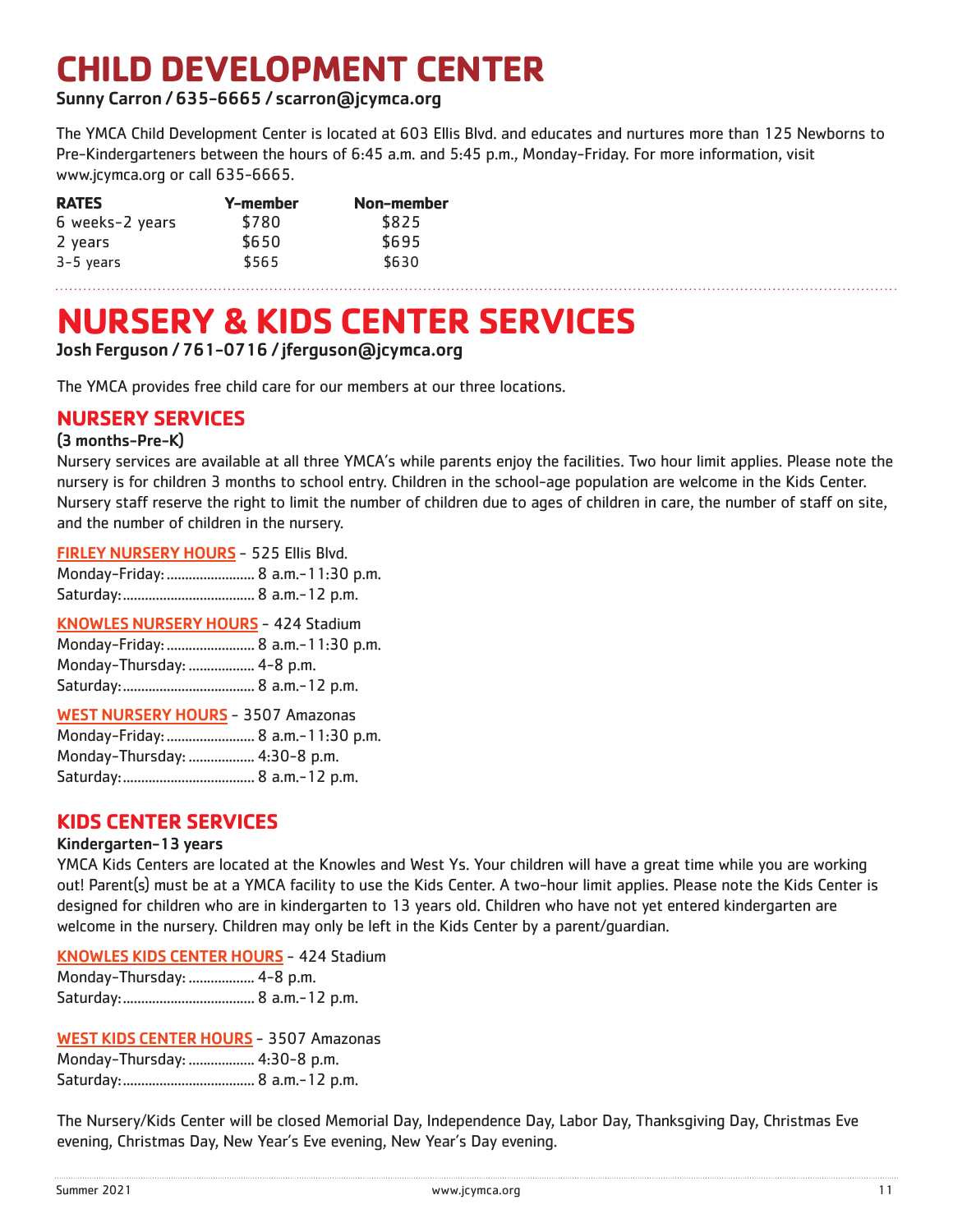# **CHILD DEVELOPMENT CENTER**

### Sunny Carron / 635-6665 / scarron@jcymca.org

The YMCA Child Development Center is located at 603 Ellis Blvd. and educates and nurtures more than 125 Newborns to Pre-Kindergarteners between the hours of 6:45 a.m. and 5:45 p.m., Monday-Friday. For more information, visit www.jcymca.org or call 635-6665.

| <b>RATES</b>    | Y-member | Non-member |
|-----------------|----------|------------|
| 6 weeks-2 years | \$780    | \$825      |
| 2 years         | \$650    | \$695      |
| $3-5$ years     | \$565    | \$630      |

# **NURSERY & KIDS CENTER SERVICES**

### Josh Ferguson / 761-0716 / jferguson@jcymca.org

The YMCA provides free child care for our members at our three locations.

### **NURSERY SERVICES**

### (3 months-Pre-K)

Nursery services are available at all three YMCA's while parents enjoy the facilities. Two hour limit applies. Please note the nursery is for children 3 months to school entry. Children in the school-age population are welcome in the Kids Center. Nursery staff reserve the right to limit the number of children due to ages of children in care, the number of staff on site, and the number of children in the nursery.

| <b>FIRLEY NURSERY HOURS - 525 Ellis Blvd.</b> |  |  |  |  |
|-----------------------------------------------|--|--|--|--|
|-----------------------------------------------|--|--|--|--|

Monday-Friday:........................ 8 a.m.-11:30 p.m.

Saturday:.................................... 8 a.m.-12 p.m.

| <b>KNOWLES NURSERY HOURS - 424 Stadium</b> |  |
|--------------------------------------------|--|
| Monday-Friday:  8 a.m.-11:30 p.m.          |  |
| Monday-Thursday:  4-8 p.m.                 |  |
|                                            |  |

### WEST NURSERY HOURS - 3507 Amazonas

|                               | Monday-Friday:  8 a.m.-11:30 p.m. |
|-------------------------------|-----------------------------------|
| Monday-Thursday:  4:30-8 p.m. |                                   |
|                               |                                   |

### **KIDS CENTER SERVICES**

#### Kindergarten-13 years

YMCA Kids Centers are located at the Knowles and West Ys. Your children will have a great time while you are working out! Parent(s) must be at a YMCA facility to use the Kids Center. A two-hour limit applies. Please note the Kids Center is designed for children who are in kindergarten to 13 years old. Children who have not yet entered kindergarten are welcome in the nursery. Children may only be left in the Kids Center by a parent/guardian.

### KNOWLES KIDS CENTER HOURS - 424 Stadium

| Monday-Thursday:  4-8 p.m. |  |
|----------------------------|--|
|                            |  |

### WEST KIDS CENTER HOURS - 3507 Amazonas

| Monday-Thursday:  4:30-8 p.m. |  |
|-------------------------------|--|
|                               |  |

The Nursery/Kids Center will be closed Memorial Day, Independence Day, Labor Day, Thanksgiving Day, Christmas Eve evening, Christmas Day, New Year's Eve evening, New Year's Day evening.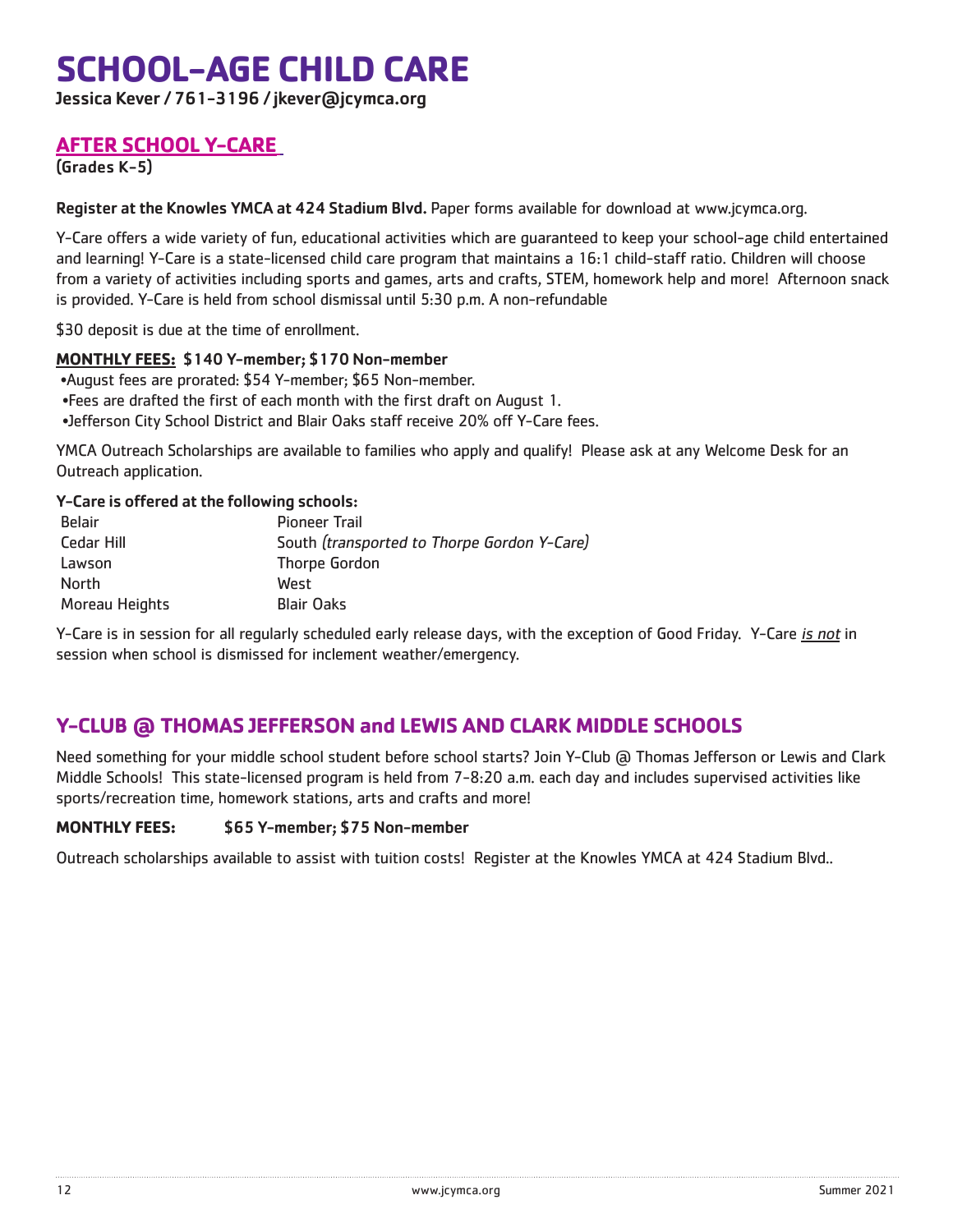# **SCHOOL-AGE CHILD CARE**

Jessica Kever / 761-3196 / jkever@jcymca.org

## **AFTER SCHOOL Y-CARE**

(Grades K-5)

Register at the Knowles YMCA at 424 Stadium Blvd. Paper forms available for download at www.jcymca.org.

Y-Care offers a wide variety of fun, educational activities which are guaranteed to keep your school-age child entertained and learning! Y-Care is a state-licensed child care program that maintains a 16:1 child-staff ratio. Children will choose from a variety of activities including sports and games, arts and crafts, STEM, homework help and more! Afternoon snack is provided. Y-Care is held from school dismissal until 5:30 p.m. A non-refundable

\$30 deposit is due at the time of enrollment.

### **MONTHLY FEES:** \$140 Y-member; \$170 Non-member

•August fees are prorated: \$54 Y-member; \$65 Non-member.

- •Fees are drafted the first of each month with the first draft on August 1.
- •Jefferson City School District and Blair Oaks staff receive 20% off Y-Care fees.

YMCA Outreach Scholarships are available to families who apply and qualify! Please ask at any Welcome Desk for an Outreach application.

### Y-Care is offered at the following schools:

| <b>Belair</b>  | <b>Pioneer Trail</b>                        |
|----------------|---------------------------------------------|
| Cedar Hill     | South (transported to Thorpe Gordon Y-Care) |
| Lawson         | Thorpe Gordon                               |
| North          | West                                        |
| Moreau Heights | <b>Blair Oaks</b>                           |
|                |                                             |

Y-Care is in session for all regularly scheduled early release days, with the exception of Good Friday. Y-Care is not in session when school is dismissed for inclement weather/emergency.

# **Y-CLUB @ THOMAS JEFFERSON and LEWIS AND CLARK MIDDLE SCHOOLS**

Need something for your middle school student before school starts? Join Y-Club @ Thomas Jefferson or Lewis and Clark Middle Schools! This state-licensed program is held from 7-8:20 a.m. each day and includes supervised activities like sports/recreation time, homework stations, arts and crafts and more!

### **MONTHLY FEES:** \$65 Y-member; \$75 Non-member

Outreach scholarships available to assist with tuition costs! Register at the Knowles YMCA at 424 Stadium Blvd..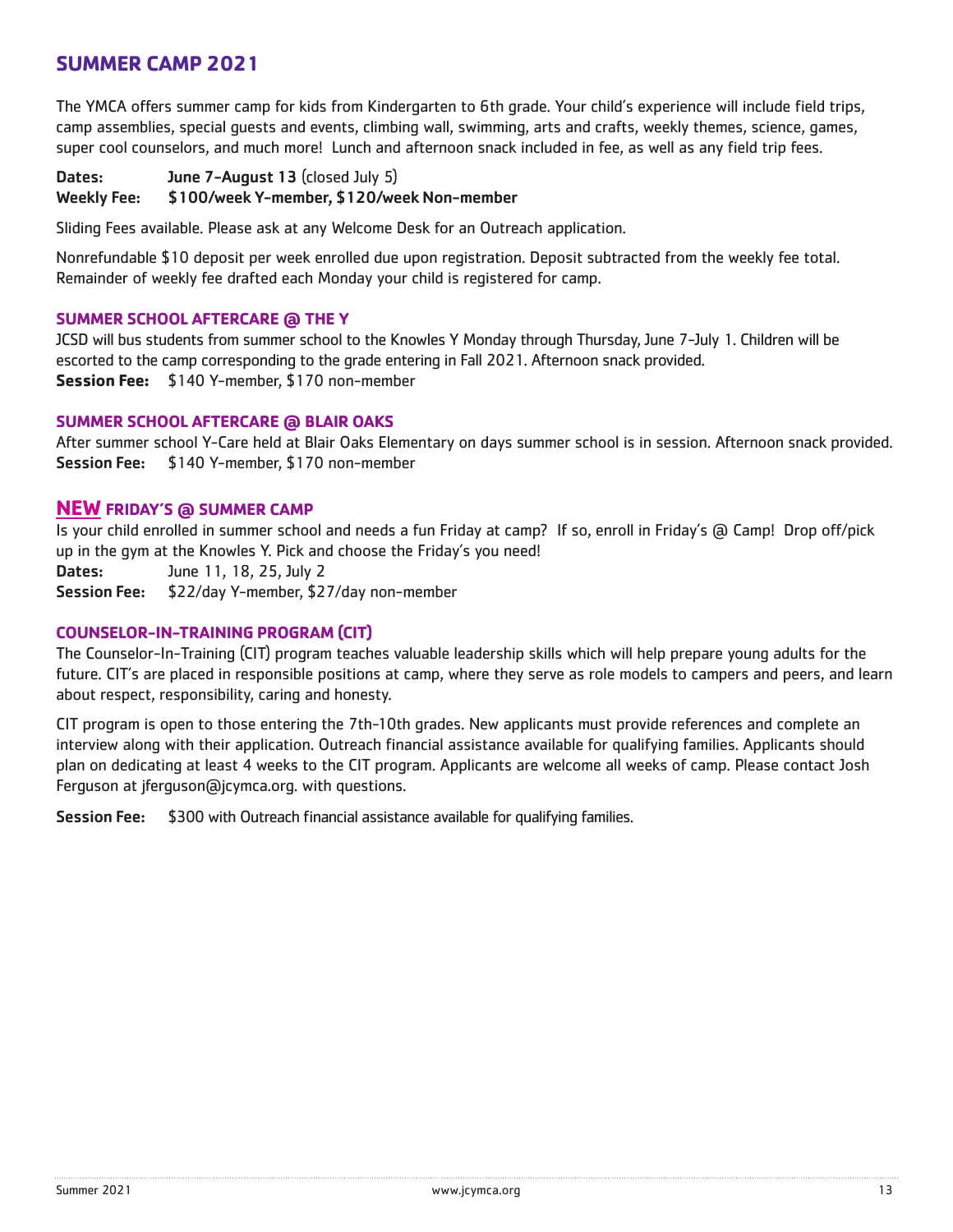## **SUMMER CAMP 2021**

The YMCA offers summer camp for kids from Kindergarten to 6th grade. Your child's experience will include field trips, camp assemblies, special guests and events, climbing wall, swimming, arts and crafts, weekly themes, science, games, super cool counselors, and much more! Lunch and afternoon snack included in fee, as well as any field trip fees.

### Dates: June 7-August 13 (closed July 5)

#### Weekly Fee: \$100/week Y-member, \$120/week Non-member

Sliding Fees available. Please ask at any Welcome Desk for an Outreach application.

Nonrefundable \$10 deposit per week enrolled due upon registration. Deposit subtracted from the weekly fee total. Remainder of weekly fee drafted each Monday your child is registered for camp.

### **SUMMER SCHOOL AFTERCARE @ THE Y**

JCSD will bus students from summer school to the Knowles Y Monday through Thursday, June 7-July 1. Children will be escorted to the camp corresponding to the grade entering in Fall 2021. Afternoon snack provided. **Session Fee:** \$140 Y-member, \$170 non-member

### **SUMMER SCHOOL AFTERCARE @ BLAIR OAKS**

After summer school Y-Care held at Blair Oaks Elementary on days summer school is in session. Afternoon snack provided. Session Fee: \$140 Y-member, \$170 non-member

### **NEW FRIDAY'S @ SUMMER CAMP**

Is your child enrolled in summer school and needs a fun Friday at camp? If so, enroll in Friday's @ Camp! Drop off/pick up in the gym at the Knowles Y. Pick and choose the Friday's you need!

Dates: June 11, 18, 25, July 2

Session Fee: \$22/day Y-member, \$27/day non-member

### **COUNSELOR-IN-TRAINING PROGRAM (CIT)**

The Counselor-In-Training (CIT) program teaches valuable leadership skills which will help prepare young adults for the future. CIT's are placed in responsible positions at camp, where they serve as role models to campers and peers, and learn about respect, responsibility, caring and honesty.

CIT program is open to those entering the 7th-10th grades. New applicants must provide references and complete an interview along with their application. Outreach financial assistance available for qualifying families. Applicants should plan on dedicating at least 4 weeks to the CIT program. Applicants are welcome all weeks of camp. Please contact Josh Ferguson at jferguson@jcymca.org. with questions.

Session Fee: \$300 with Outreach financial assistance available for qualifying families.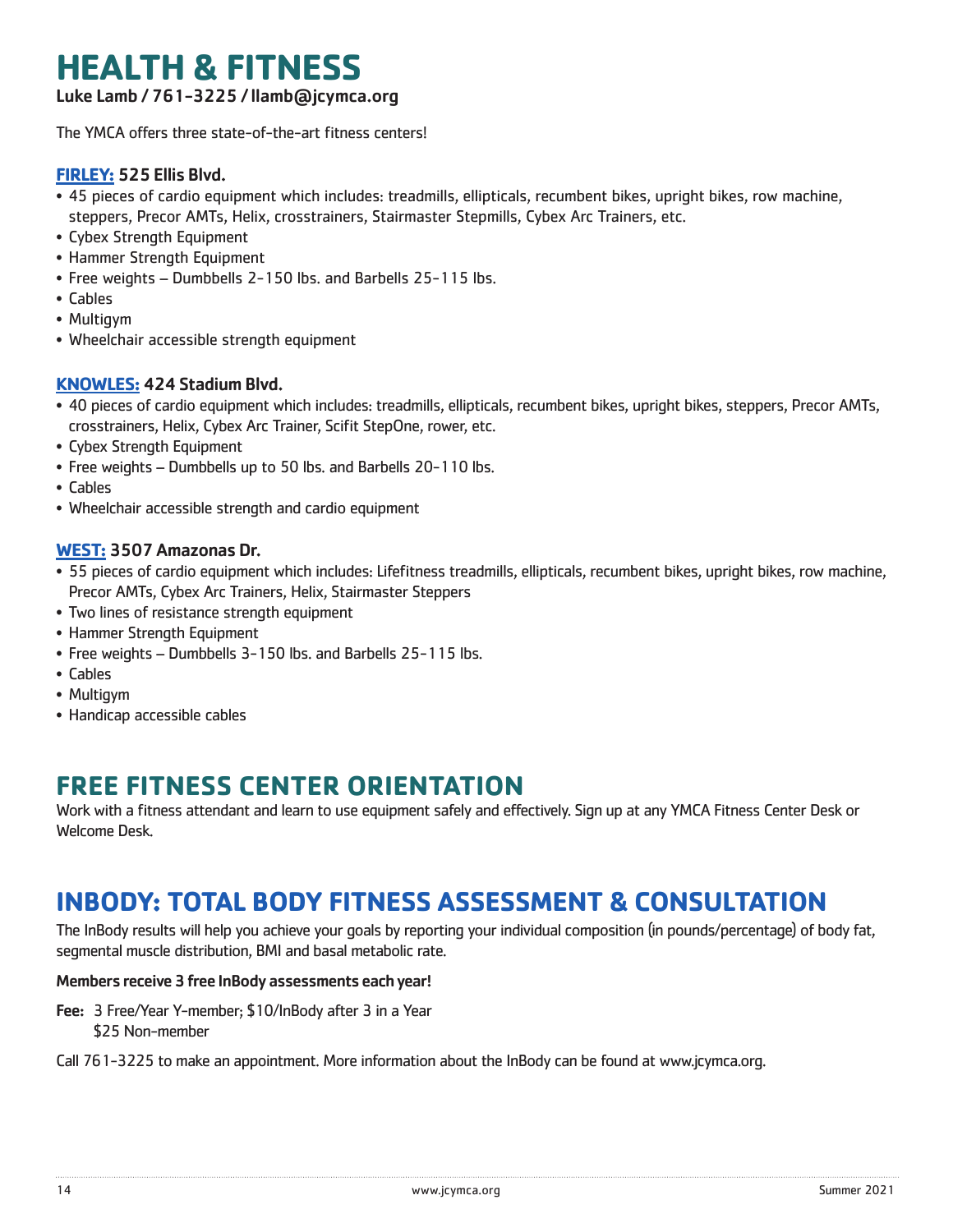# **HEALTH & FITNESS**

Luke Lamb / 761-3225 / llamb@jcymca.org

The YMCA offers three state-of-the-art fitness centers!

### **FIRLEY:** 525 Ellis Blvd.

- 45 pieces of cardio equipment which includes: treadmills, ellipticals, recumbent bikes, upright bikes, row machine, steppers, Precor AMTs, Helix, crosstrainers, Stairmaster Stepmills, Cybex Arc Trainers, etc.
- Cybex Strength Equipment
- Hammer Strength Equipment
- Free weights Dumbbells 2-150 lbs. and Barbells 25-115 lbs.
- Cables
- Multigym
- Wheelchair accessible strength equipment

### **KNOWLES:** 424 Stadium Blvd.

- 40 pieces of cardio equipment which includes: treadmills, ellipticals, recumbent bikes, upright bikes, steppers, Precor AMTs, crosstrainers, Helix, Cybex Arc Trainer, Scifit StepOne, rower, etc.
- Cybex Strength Equipment
- Free weights Dumbbells up to 50 lbs. and Barbells 20-110 lbs.
- Cables
- Wheelchair accessible strength and cardio equipment

### **WEST:** 3507 Amazonas Dr.

- 55 pieces of cardio equipment which includes: Lifefitness treadmills, ellipticals, recumbent bikes, upright bikes, row machine, Precor AMTs, Cybex Arc Trainers, Helix, Stairmaster Steppers
- Two lines of resistance strength equipment
- Hammer Strength Equipment
- Free weights Dumbbells 3-150 lbs. and Barbells 25-115 lbs.
- Cables
- Multigym
- Handicap accessible cables

# **FREE FITNESS CENTER ORIENTATION**

Work with a fitness attendant and learn to use equipment safely and effectively. Sign up at any YMCA Fitness Center Desk or Welcome Desk.

# **INBODY: TOTAL BODY FITNESS ASSESSMENT & CONSULTATION**

The InBody results will help you achieve your goals by reporting your individual composition (in pounds/percentage) of body fat, segmental muscle distribution, BMI and basal metabolic rate.

### Members receive 3 free InBody assessments each year!

Fee: 3 Free/Year Y-member; \$10/InBody after 3 in a Year \$25 Non-member

Call 761-3225 to make an appointment. More information about the InBody can be found at www.jcymca.org.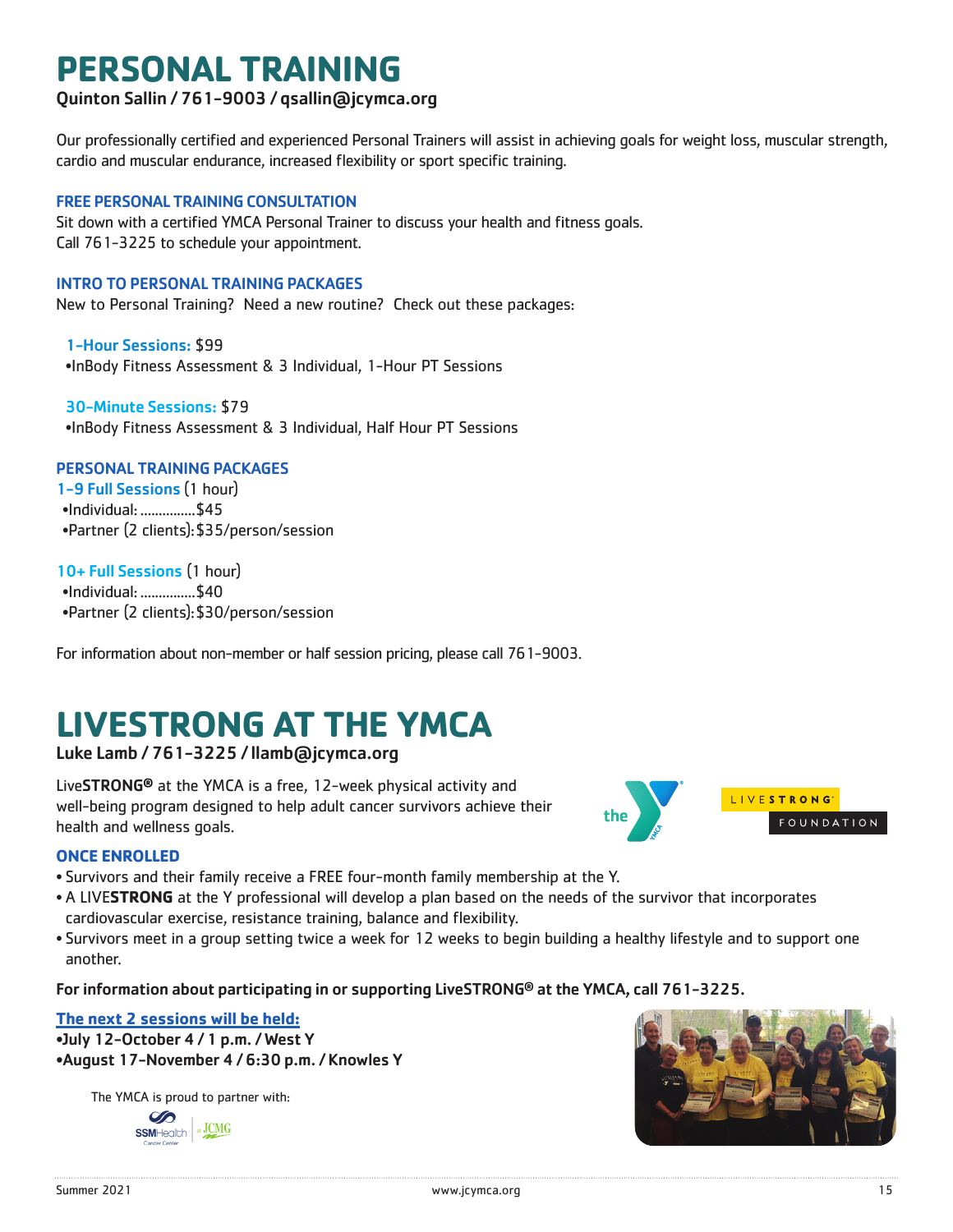# **PERSONAL TRAINING**

### Quinton Sallin / 761-9003 / qsallin@jcymca.org

Our professionally certified and experienced Personal Trainers will assist in achieving goals for weight loss, muscular strength, cardio and muscular endurance, increased flexibility or sport specific training.

### FREE PERSONAL TRAINING CONSULTATION

Sit down with a certified YMCA Personal Trainer to discuss your health and fitness goals. Call 761-3225 to schedule your appointment.

### INTRO TO PERSONAL TRAINING PACKAGES

New to Personal Training? Need a new routine? Check out these packages:

1-Hour Sessions: \$99 •InBody Fitness Assessment & 3 Individual, 1-Hour PT Sessions

30-Minute Sessions: \$79 •InBody Fitness Assessment & 3 Individual, Half Hour PT Sessions

### PERSONAL TRAINING PACKAGES

1-9 Full Sessions (1 hour) •Individual: ...............\$45 •Partner (2 clients):\$35/person/session

10+ Full Sessions (1 hour) •Individual: ...............\$40 •Partner (2 clients):\$30/person/session

For information about non-member or half session pricing, please call 761-9003.

# **LIVESTRONG AT THE YMCA**

Luke Lamb / 761-3225 / llamb@jcymca.org

LiveSTRONG**®** at the YMCA is a free, 12-week physical activity and well-being program designed to help adult cancer survivors achieve their health and wellness goals.



### **ONCE ENROLLED**

- Survivors and their family receive a FREE four-month family membership at the Y.
- A LIVE**STRONG** at the Y professional will develop a plan based on the needs of the survivor that incorporates cardiovascular exercise, resistance training, balance and flexibility.
- Survivors meet in a group setting twice a week for 12 weeks to begin building a healthy lifestyle and to support one another.

For information about participating in or supporting LiveSTRONG® at the YMCA, call 761-3225.

### **The next 2 sessions will be held:**

•July 12-October 4 / 1 p.m. / West Y •August 17-November 4 / 6:30 p.m. / Knowles Y

The YMCA is proud to partner with:



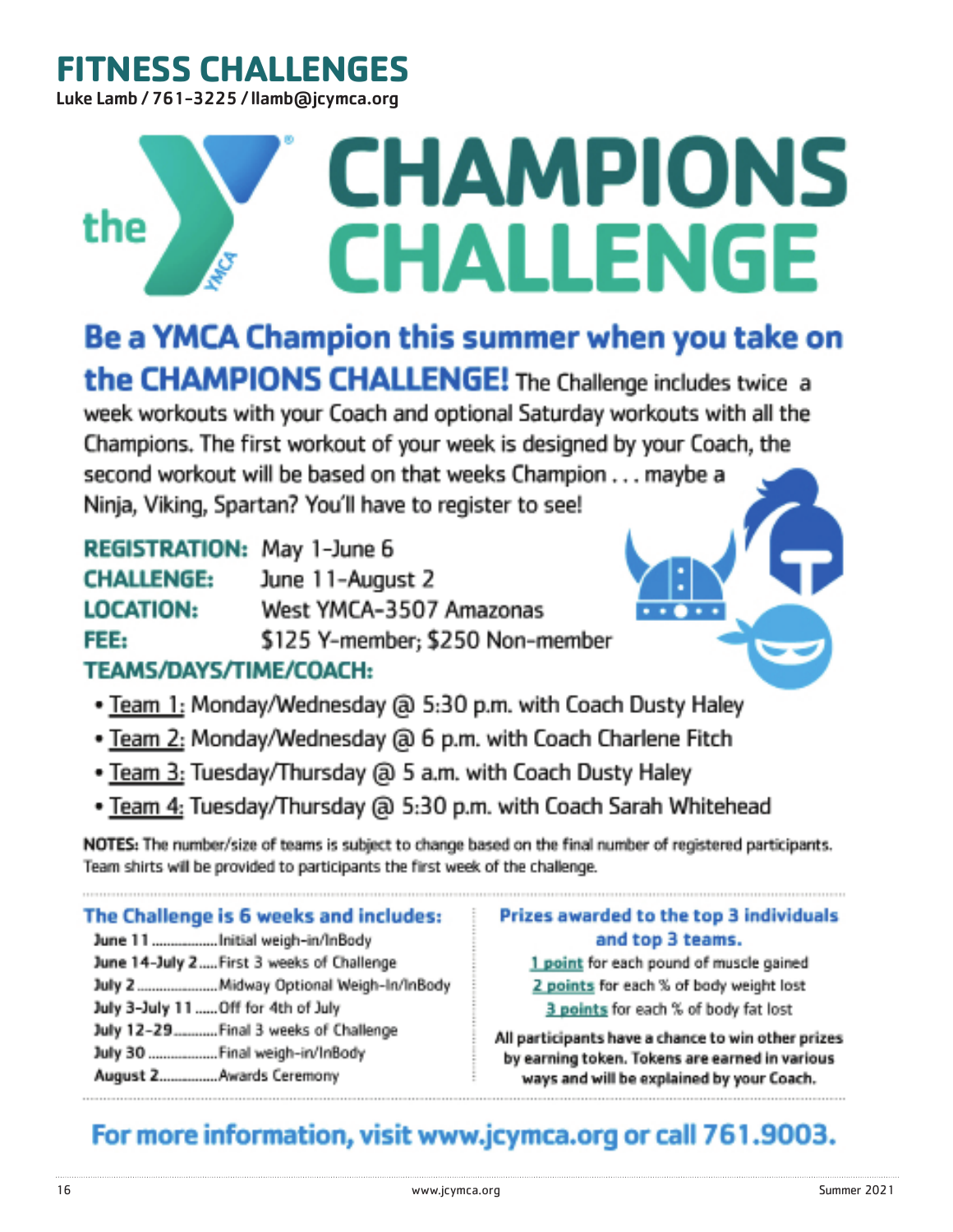# **FITNESS CHALLENGES**

Luke Lamb / 761-3225 / llamb@jcymca.org

# **CHAMPIONS** the **CHALLENGE**

Be a YMCA Champion this summer when you take on

the CHAMPIONS CHALLENGE! The Challenge includes twice a week workouts with your Coach and optional Saturday workouts with all the Champions. The first workout of your week is designed by your Coach, the second workout will be based on that weeks Champion . . . maybe a Ninja, Viking, Spartan? You'll have to register to see!

| REGISTRATION: May 1-June 6                    |                                  |
|-----------------------------------------------|----------------------------------|
| <b>CHALLENGE:</b>                             | June 11-August 2                 |
| <b>LOCATION:</b>                              | West YMCA-3507 Amazonas          |
| FEE:                                          | \$125 Y-member; \$250 Non-member |
| TERM A BAR AREA ENGAGE ATT EN BET APPAR A STA |                                  |

# TEAMS/DAYS/TIME/COACH:

- Team 1: Monday/Wednesday @ 5:30 p.m. with Coach Dusty Haley
- . Team 2: Monday/Wednesday @ 6 p.m. with Coach Charlene Fitch
- . Team 3: Tuesday/Thursday @ 5 a.m. with Coach Dusty Haley
- . Team 4: Tuesday/Thursday @ 5:30 p.m. with Coach Sarah Whitehead

NOTES: The number/size of teams is subject to change based on the final number of registered participants. Team shirts will be provided to participants the first week of the challenge.

# The Challenge is 6 weeks and includes:

June 11.................Initial weigh-in/InBody June 14-July 2..... First 3 weeks of Challenge July 2 ......................... Midway Optional Weigh-In/InBody July 3-July 11 ...... Off for 4th of July July 12-29........... Final 3 weeks of Challenge July 30 .................. Final weigh-in/InBody August 2............... Awards Ceremony

### Prizes awarded to the top 3 individuals and top 3 teams.

1 point for each pound of muscle gained 2 points for each % of body weight lost 3 points for each % of body fat lost

All participants have a chance to win other prizes by earning token. Tokens are earned in various ways and will be explained by your Coach.

# For more information, visit www.jcymca.org or call 761.9003.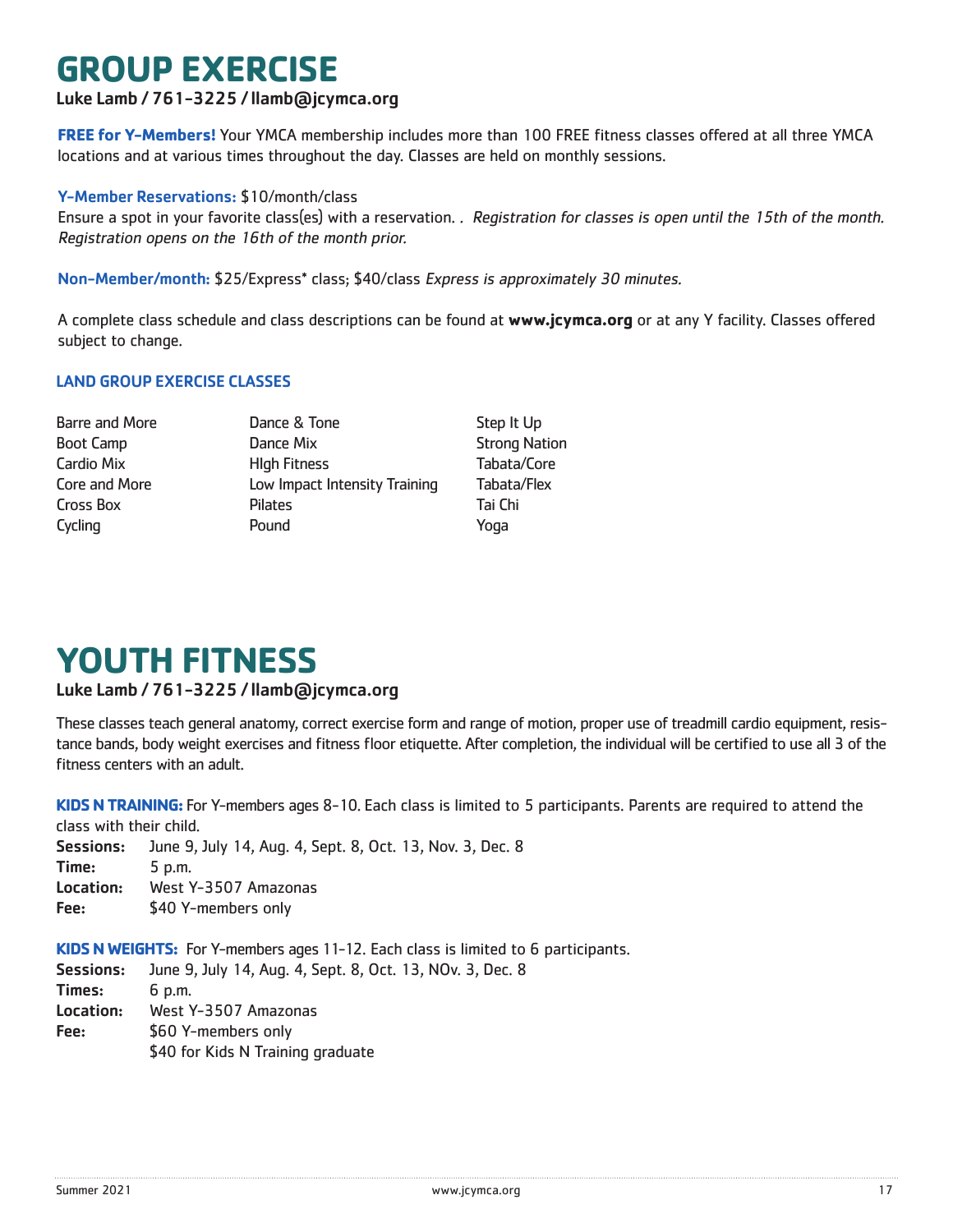# **GROUP EXERCISE**

### Luke Lamb / 761-3225 / llamb@jcymca.org

**FREE for Y-Members!** Your YMCA membership includes more than 100 FREE fitness classes offered at all three YMCA locations and at various times throughout the day. Classes are held on monthly sessions.

### Y-Member Reservations: \$10/month/class

Ensure a spot in your favorite class(es) with a reservation. . Registration for classes is open until the 15th of the month. Registration opens on the 16th of the month prior.

Non-Member/month: \$25/Express\* class; \$40/class Express is approximately 30 minutes.

A complete class schedule and class descriptions can be found at **www.jcymca.org** or at any Y facility. Classes offered subject to change.

### LAND GROUP EXERCISE CLASSES

Barre and More **Step It Up** Dance & Tone **Step It Up** Step It Up Boot Camp **Dance Mix** Dance Mix Strong Nation Cardio Mix HIgh Fitness Tabata/Core Core and More **Low Impact Intensity Training** Tabata/Flex Cross Box Pilates Tai Chi Cycling **Cycling Pound** Pound **Pound Pound** 

# **YOUTH FITNESS**

### Luke Lamb / 761-3225 / llamb@jcymca.org

These classes teach general anatomy, correct exercise form and range of motion, proper use of treadmill cardio equipment, resistance bands, body weight exercises and fitness floor etiquette. After completion, the individual will be certified to use all 3 of the fitness centers with an adult.

**KIDS N TRAINING:** For Y-members ages 8-10. Each class is limited to 5 participants. Parents are required to attend the class with their child.

Sessions: June 9, July 14, Aug. 4, Sept. 8, Oct. 13, Nov. 3, Dec. 8 Time: 5 p.m. Location: West Y-3507 Amazonas Fee: \$40 Y-members only

**KIDS N WEIGHTS:** For Y-members ages 11-12. Each class is limited to 6 participants.

Sessions: June 9, July 14, Aug. 4, Sept. 8, Oct. 13, NOv. 3, Dec. 8 Times: 6 p.m. Location: West Y-3507 Amazonas Fee: \$60 Y-members only \$40 for Kids N Training graduate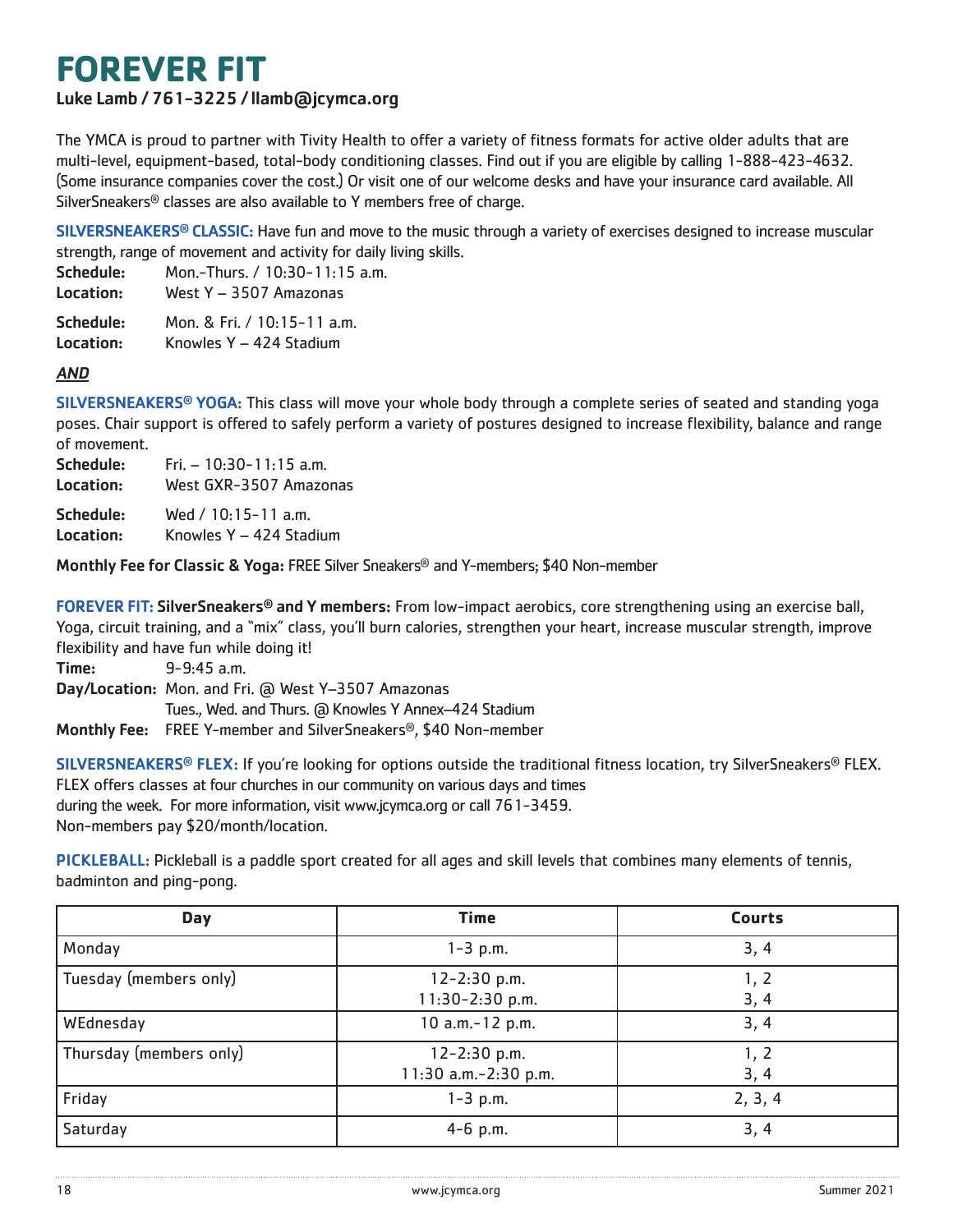# **FOREVER FIT**

### Luke Lamb / 761-3225 / llamb@jcymca.org

The YMCA is proud to partner with Tivity Health to offer a variety of fitness formats for active older adults that are multi-level, equipment-based, total-body conditioning classes. Find out if you are eligible by calling 1-888-423-4632. (Some insurance companies cover the cost.) Or visit one of our welcome desks and have your insurance card available. All SilverSneakers® classes are also available to Y members free of charge.

SILVERSNEAKERS<sup>®</sup> CLASSIC: Have fun and move to the music through a variety of exercises designed to increase muscular strength, range of movement and activity for daily living skills.

| Schedule: | Mon.-Thurs. / 10:30-11:15 a.m. |
|-----------|--------------------------------|
| Location: | West Y - 3507 Amazonas         |
| Schedule: | Mon. & Fri. / 10:15-11 a.m.    |

Location: Knowles Y - 424 Stadium

### AND

SILVERSNEAKERS® YOGA: This class will move your whole body through a complete series of seated and standing yoga poses. Chair support is offered to safely perform a variety of postures designed to increase flexibility, balance and range of movement.

| Schedule: | Fri. $-10:30-11:15$ a.m. |
|-----------|--------------------------|
| Location: | West GXR-3507 Amazonas   |
|           |                          |

Schedule: Wed / 10:15-11 a.m.

Location: Knowles Y – 424 Stadium

Monthly Fee for Classic & Yoga: FREE Silver Sneakers® and Y-members; \$40 Non-member

FOREVER FIT: SilverSneakers® and Y members: From low-impact aerobics, core strengthening using an exercise ball, Yoga, circuit training, and a "mix" class, you'll burn calories, strengthen your heart, increase muscular strength, improve flexibility and have fun while doing it!

Time: 9-9:45 a.m.

Day/Location: Mon. and Fri. @ West Y–3507 Amazonas Tues., Wed. and Thurs. (a Knowles Y Annex-424 Stadium Monthly Fee: FREE Y-member and SilverSneakers®, \$40 Non-member

SILVERSNEAKERS® FLEX: If you're looking for options outside the traditional fitness location, try SilverSneakers® FLEX. FLEX offers classes at four churches in our community on various days and times during the week. For more information, visit www.jcymca.org or call 761-3459. Non-members pay \$20/month/location.

PICKLEBALL: Pickleball is a paddle sport created for all ages and skill levels that combines many elements of tennis, badminton and ping-pong.

| <b>Day</b>              | <b>Time</b>                              | <b>Courts</b> |
|-------------------------|------------------------------------------|---------------|
| Monday                  | $1 - 3$ p.m.                             | 3, 4          |
| Tuesday (members only)  | 12-2:30 p.m.<br>$11:30-2:30 p.m.$        | 1, 2<br>3, 4  |
| WEdnesday               | 10 a.m.-12 p.m.                          | 3, 4          |
| Thursday (members only) | $12 - 2:30$ p.m.<br>11:30 a.m.-2:30 p.m. | 1, 2<br>3, 4  |
| Friday                  | $1 - 3$ p.m.                             | 2, 3, 4       |
| Saturday                | $4-6$ p.m.                               | 3, 4          |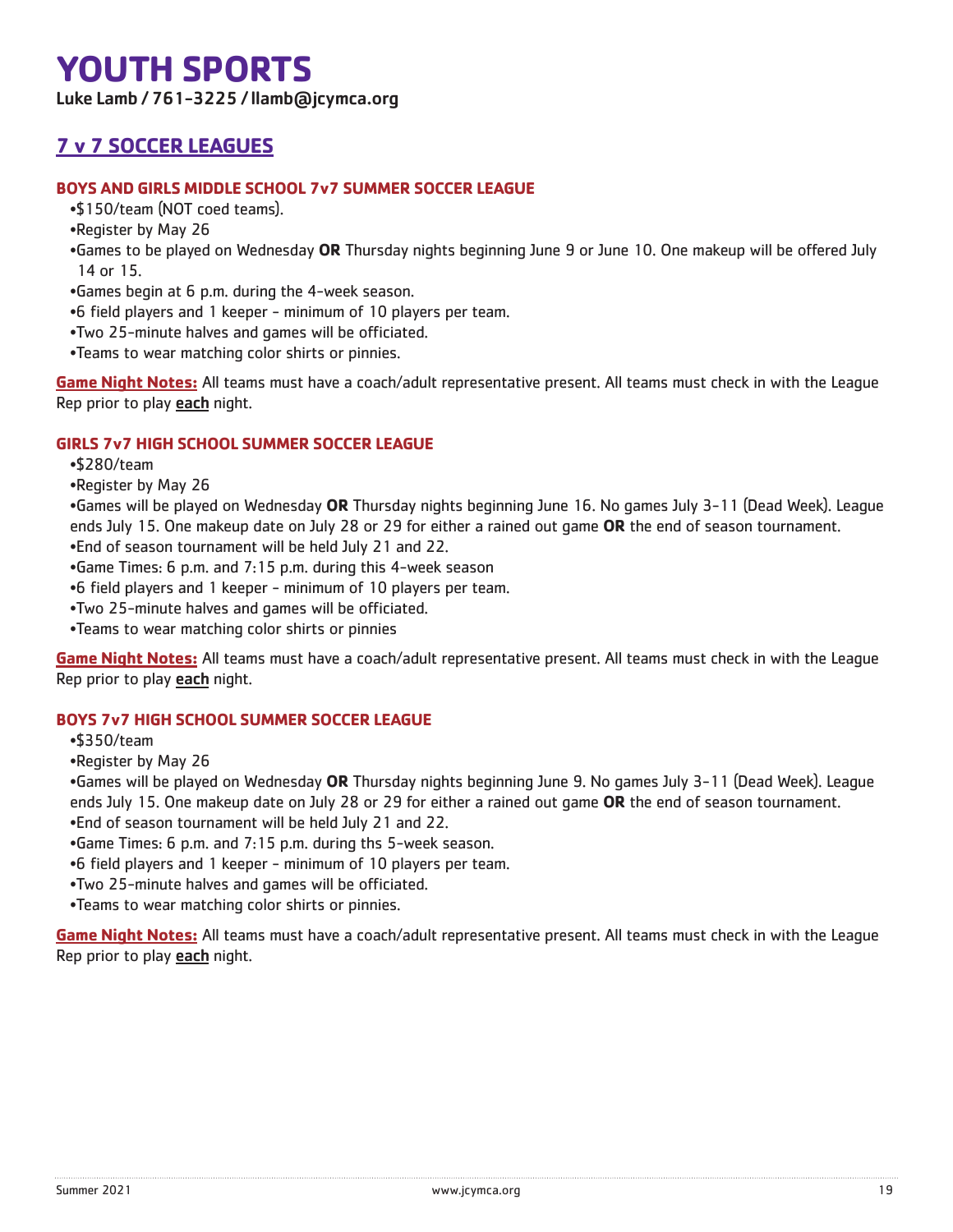# **YOUTH SPORTS**

Luke Lamb / 761-3225 / llamb@jcymca.org

# **7 v 7 SOCCER LEAGUES**

### **BOYS AND GIRLS MIDDLE SCHOOL 7v7 SUMMER SOCCER LEAGUE**

- •\$150/team (NOT coed teams).
- •Register by May 26
- •Games to be played on Wednesday **OR** Thursday nights beginning June 9 or June 10. One makeup will be offered July 14 or 15.
- •Games begin at 6 p.m. during the 4-week season.
- •6 field players and 1 keeper minimum of 10 players per team.
- •Two 25-minute halves and games will be officiated.
- •Teams to wear matching color shirts or pinnies.

**Game Night Notes:** All teams must have a coach/adult representative present. All teams must check in with the League Rep prior to play **each** night.

### **GIRLS 7v7 HIGH SCHOOL SUMMER SOCCER LEAGUE**

- •\$280/team
- •Register by May 26

•Games will be played on Wednesday **OR** Thursday nights beginning June 16. No games July 3-11 (Dead Week). League ends July 15. One makeup date on July 28 or 29 for either a rained out game **OR** the end of season tournament. •End of season tournament will be held July 21 and 22.

- •Game Times: 6 p.m. and 7:15 p.m. during this 4-week season
- •6 field players and 1 keeper minimum of 10 players per team.
- •Two 25-minute halves and games will be officiated.
- •Teams to wear matching color shirts or pinnies

**Game Night Notes:** All teams must have a coach/adult representative present. All teams must check in with the League Rep prior to play each night.

### **BOYS 7v7 HIGH SCHOOL SUMMER SOCCER LEAGUE**

- •\$350/team
- •Register by May 26

•Games will be played on Wednesday **OR** Thursday nights beginning June 9. No games July 3-11 (Dead Week). League ends July 15. One makeup date on July 28 or 29 for either a rained out game **OR** the end of season tournament. •End of season tournament will be held July 21 and 22.

- •Game Times: 6 p.m. and 7:15 p.m. during ths 5-week season.
- •6 field players and 1 keeper minimum of 10 players per team.
- •Two 25-minute halves and games will be officiated.
- •Teams to wear matching color shirts or pinnies.

**Game Night Notes:** All teams must have a coach/adult representative present. All teams must check in with the League Rep prior to play each night.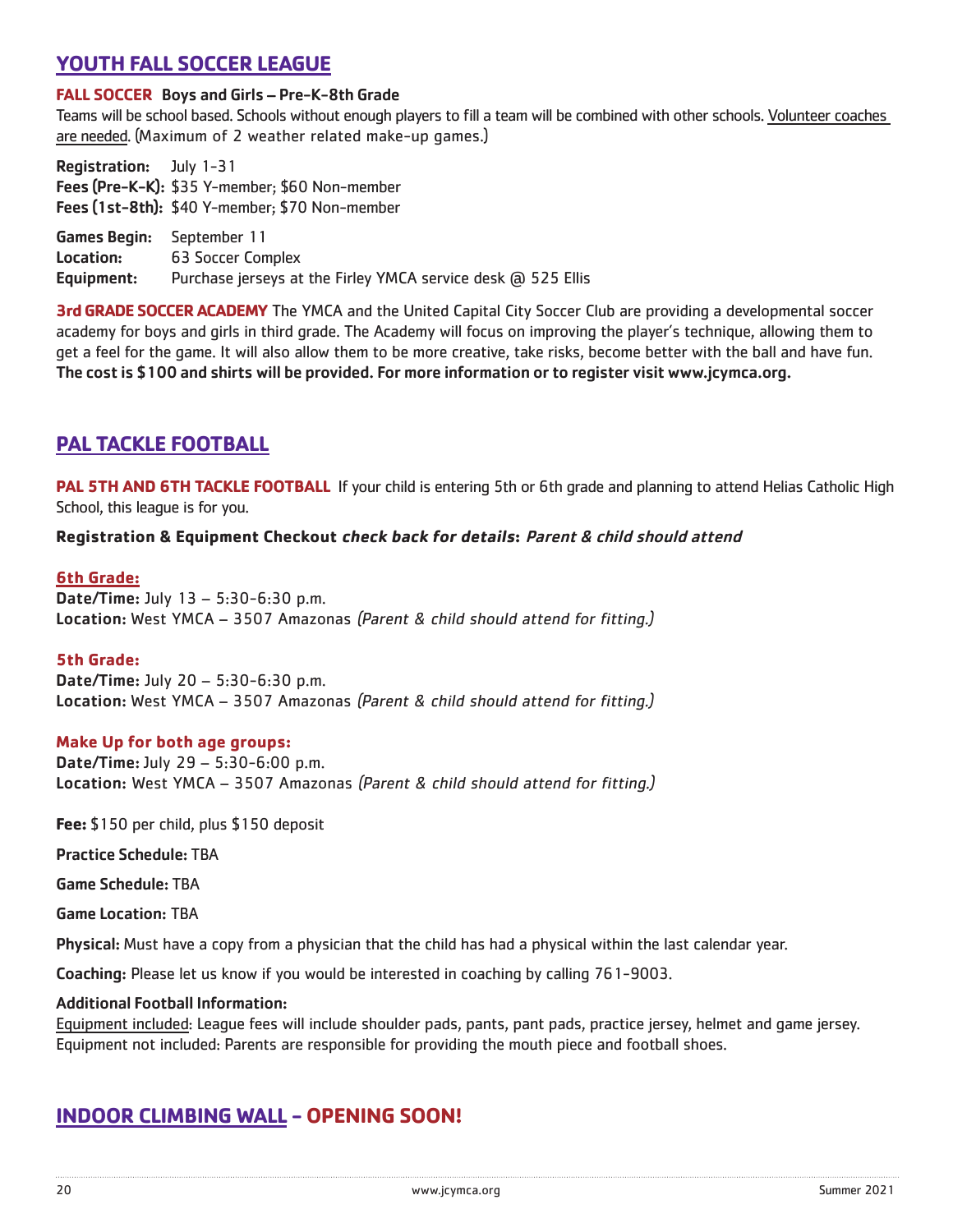## **YOUTH FALL SOCCER LEAGUE**

### **FALL SOCCER** Boys and Girls – Pre-K-8th Grade

Teams will be school based. Schools without enough players to fill a team will be combined with other schools. Volunteer coaches are needed. (Maximum of 2 weather related make-up games.)

Registration: July 1-31 Fees (Pre-K-K): \$35 Y-member; \$60 Non-member Fees (1st-8th): \$40 Y-member; \$70 Non-member

Games Begin: September 11 Location: 63 Soccer Complex Equipment: Purchase jerseys at the Firley YMCA service desk @ 525 Ellis

**3rd GRADE SOCCER ACADEMY** The YMCA and the United Capital City Soccer Club are providing a developmental soccer academy for boys and girls in third grade. The Academy will focus on improving the player's technique, allowing them to get a feel for the game. It will also allow them to be more creative, take risks, become better with the ball and have fun. The cost is \$100 and shirts will be provided. For more information or to register visit www.jcymca.org.

### **PAL TACKLE FOOTBALL**

**PAL 5TH AND 6TH TACKLE FOOTBALL** If your child is entering 5th or 6th grade and planning to attend Helias Catholic High School, this league is for you.

### **Registration & Equipment Checkout check back for details:** Parent & child should attend

### **6th Grade:**

Date/Time: July 13 – 5:30-6:30 p.m. Location: West YMCA – 3507 Amazonas (Parent & child should attend for fitting.)

#### **5th Grade:**

Date/Time: July 20 – 5:30-6:30 p.m. Location: West YMCA – 3507 Amazonas (Parent & child should attend for fitting.)

#### **Make Up for both age groups:**

Date/Time: July 29 – 5:30-6:00 p.m. Location: West YMCA – 3507 Amazonas (Parent & child should attend for fitting.)

**Fee:** \$150 per child, plus \$150 deposit

Practice Schedule: TBA

Game Schedule: TBA

Game Location: TBA

Physical: Must have a copy from a physician that the child has had a physical within the last calendar year.

Coaching: Please let us know if you would be interested in coaching by calling 761-9003.

#### Additional Football Information:

Equipment included: League fees will include shoulder pads, pants, pant pads, practice jersey, helmet and game jersey. Equipment not included: Parents are responsible for providing the mouth piece and football shoes.

# **INDOOR CLIMBING WALL - OPENING SOON!**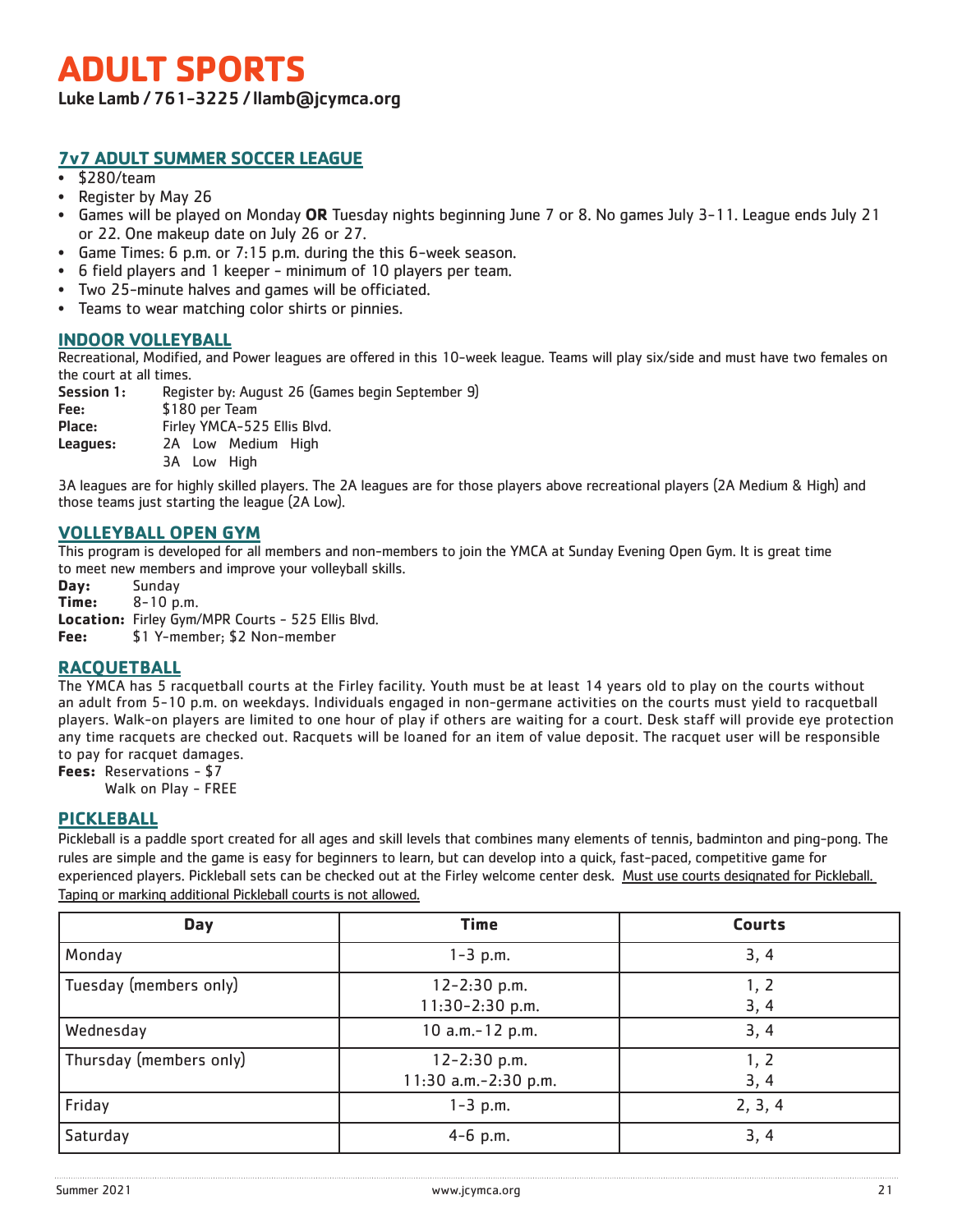# **ADULT SPORTS**

Luke Lamb / 761-3225 / llamb@jcymca.org

### **7v7 ADULT SUMMER SOCCER LEAGUE**

- \$280/team
- Register by May 26
- Games will be played on Monday **OR** Tuesday nights beginning June 7 or 8. No games July 3-11. League ends July 21 or 22. One makeup date on July 26 or 27.
- Game Times: 6 p.m. or 7:15 p.m. during the this 6-week season.
- 6 field players and 1 keeper minimum of 10 players per team.
- Two 25-minute halves and games will be officiated.
- Teams to wear matching color shirts or pinnies.

### **INDOOR VOLLEYBALL**

Recreational, Modified, and Power leagues are offered in this 10-week league. Teams will play six/side and must have two females on the court at all times.

| Session 1: | Register by: August 26 (Games begin September 9) |
|------------|--------------------------------------------------|
| Fee:       | \$180 per Team                                   |
| Place:     | Firley YMCA-525 Ellis Blvd.                      |
| Leagues:   | 2A Low Medium High                               |
|            | 3A Low High                                      |

3A leagues are for highly skilled players. The 2A leagues are for those players above recreational players (2A Medium & High) and those teams just starting the league (2A Low).

### **VOLLEYBALL OPEN GYM**

This program is developed for all members and non-members to join the YMCA at Sunday Evening Open Gym. It is great time to meet new members and improve your volleyball skills.

**Day:** Sunday **Time:** 8-10 p.m.

**Location:** Firley Gym/MPR Courts - 525 Ellis Blvd.

**Fee:** \$1 Y-member; \$2 Non-member

### **RACQUETBALL**

The YMCA has 5 racquetball courts at the Firley facility. Youth must be at least 14 years old to play on the courts without an adult from 5-10 p.m. on weekdays. Individuals engaged in non-germane activities on the courts must yield to racquetball players. Walk-on players are limited to one hour of play if others are waiting for a court. Desk staff will provide eye protection any time racquets are checked out. Racquets will be loaned for an item of value deposit. The racquet user will be responsible to pay for racquet damages.

**Fees:** Reservations - \$7

Walk on Play - FREE

### **PICKLEBALL**

Pickleball is a paddle sport created for all ages and skill levels that combines many elements of tennis, badminton and ping-pong. The rules are simple and the game is easy for beginners to learn, but can develop into a quick, fast-paced, competitive game for experienced players. Pickleball sets can be checked out at the Firley welcome center desk. Must use courts designated for Pickleball. Taping or marking additional Pickleball courts is not allowed.

| <b>Day</b>              | <b>Time</b>                              | <b>Courts</b> |
|-------------------------|------------------------------------------|---------------|
| Monday                  | $1 - 3$ p.m.                             | 3, 4          |
| Tuesday (members only)  | $12 - 2:30$ p.m.<br>$11:30-2:30$ p.m.    | 1, 2<br>3, 4  |
| Wednesday               | 10 a.m.-12 p.m.                          | 3, 4          |
| Thursday (members only) | $12 - 2:30$ p.m.<br>11:30 a.m.-2:30 p.m. | 1, 2<br>3, 4  |
| Friday                  | $1 - 3$ p.m.                             | 2, 3, 4       |
| Saturday                | $4-6$ p.m.                               | 3, 4          |